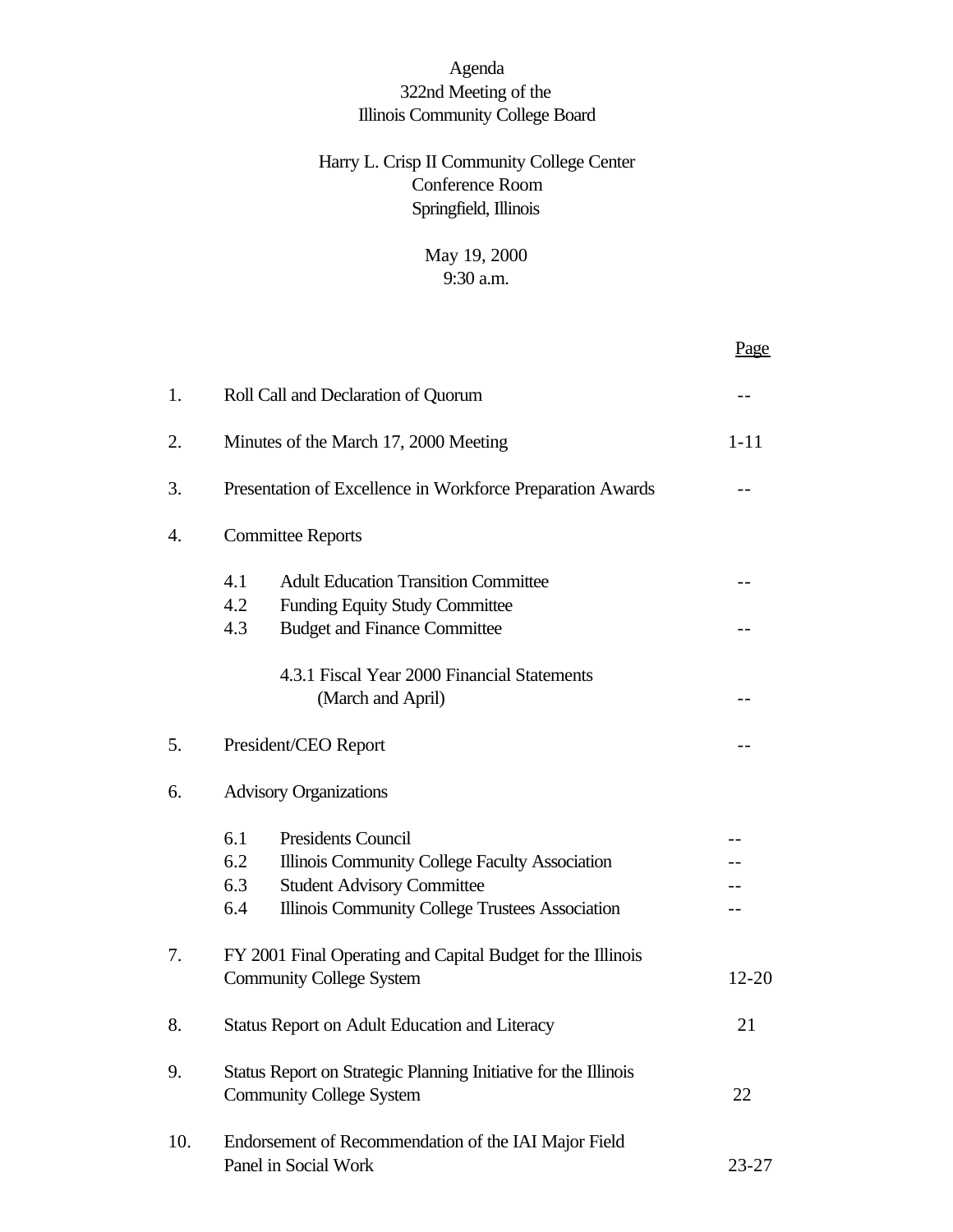# Agenda 322nd Meeting of the Illinois Community College Board

# Harry L. Crisp II Community College Center Conference Room Springfield, Illinois

# May 19, 2000 9:30 a.m.

|     |                                                                                                                                                                                                 | Page      |  |
|-----|-------------------------------------------------------------------------------------------------------------------------------------------------------------------------------------------------|-----------|--|
| 1.  | Roll Call and Declaration of Quorum                                                                                                                                                             |           |  |
| 2.  | Minutes of the March 17, 2000 Meeting                                                                                                                                                           | $1 - 11$  |  |
| 3.  | Presentation of Excellence in Workforce Preparation Awards                                                                                                                                      |           |  |
| 4.  | <b>Committee Reports</b>                                                                                                                                                                        |           |  |
|     | <b>Adult Education Transition Committee</b><br>4.1<br>4.2<br><b>Funding Equity Study Committee</b>                                                                                              |           |  |
|     | 4.3<br><b>Budget and Finance Committee</b>                                                                                                                                                      |           |  |
|     | 4.3.1 Fiscal Year 2000 Financial Statements<br>(March and April)                                                                                                                                |           |  |
| 5.  | President/CEO Report                                                                                                                                                                            |           |  |
| 6.  | <b>Advisory Organizations</b>                                                                                                                                                                   |           |  |
|     | 6.1<br><b>Presidents Council</b><br>6.2<br>Illinois Community College Faculty Association<br>6.3<br><b>Student Advisory Committee</b><br>Illinois Community College Trustees Association<br>6.4 |           |  |
| 7.  | FY 2001 Final Operating and Capital Budget for the Illinois<br><b>Community College System</b>                                                                                                  | $12 - 20$ |  |
| 8.  | <b>Status Report on Adult Education and Literacy</b>                                                                                                                                            | 21        |  |
| 9.  | Status Report on Strategic Planning Initiative for the Illinois<br><b>Community College System</b>                                                                                              |           |  |
| 10. | Endorsement of Recommendation of the IAI Major Field<br>Panel in Social Work                                                                                                                    | $23 - 27$ |  |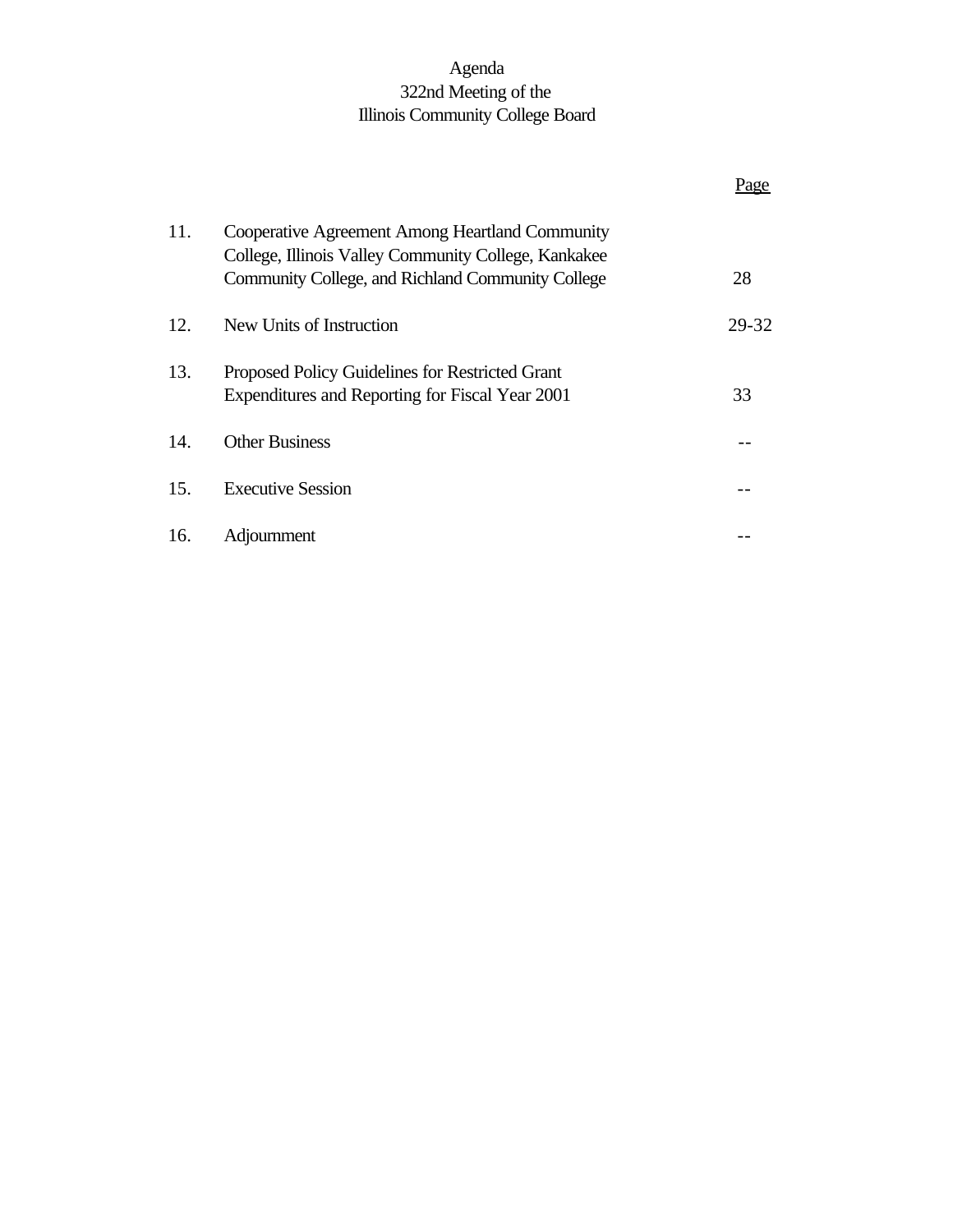# Agenda 322nd Meeting of the Illinois Community College Board

|     |                                                                                                                                                              | age   |
|-----|--------------------------------------------------------------------------------------------------------------------------------------------------------------|-------|
| 11. | Cooperative Agreement Among Heartland Community<br>College, Illinois Valley Community College, Kankakee<br>Community College, and Richland Community College | 28    |
| 12. | New Units of Instruction                                                                                                                                     | 29-32 |
| 13. | Proposed Policy Guidelines for Restricted Grant<br>Expenditures and Reporting for Fiscal Year 2001                                                           | 33    |
| 14. | <b>Other Business</b>                                                                                                                                        |       |
| 15. | <b>Executive Session</b>                                                                                                                                     |       |
| 16. | Adjournment                                                                                                                                                  |       |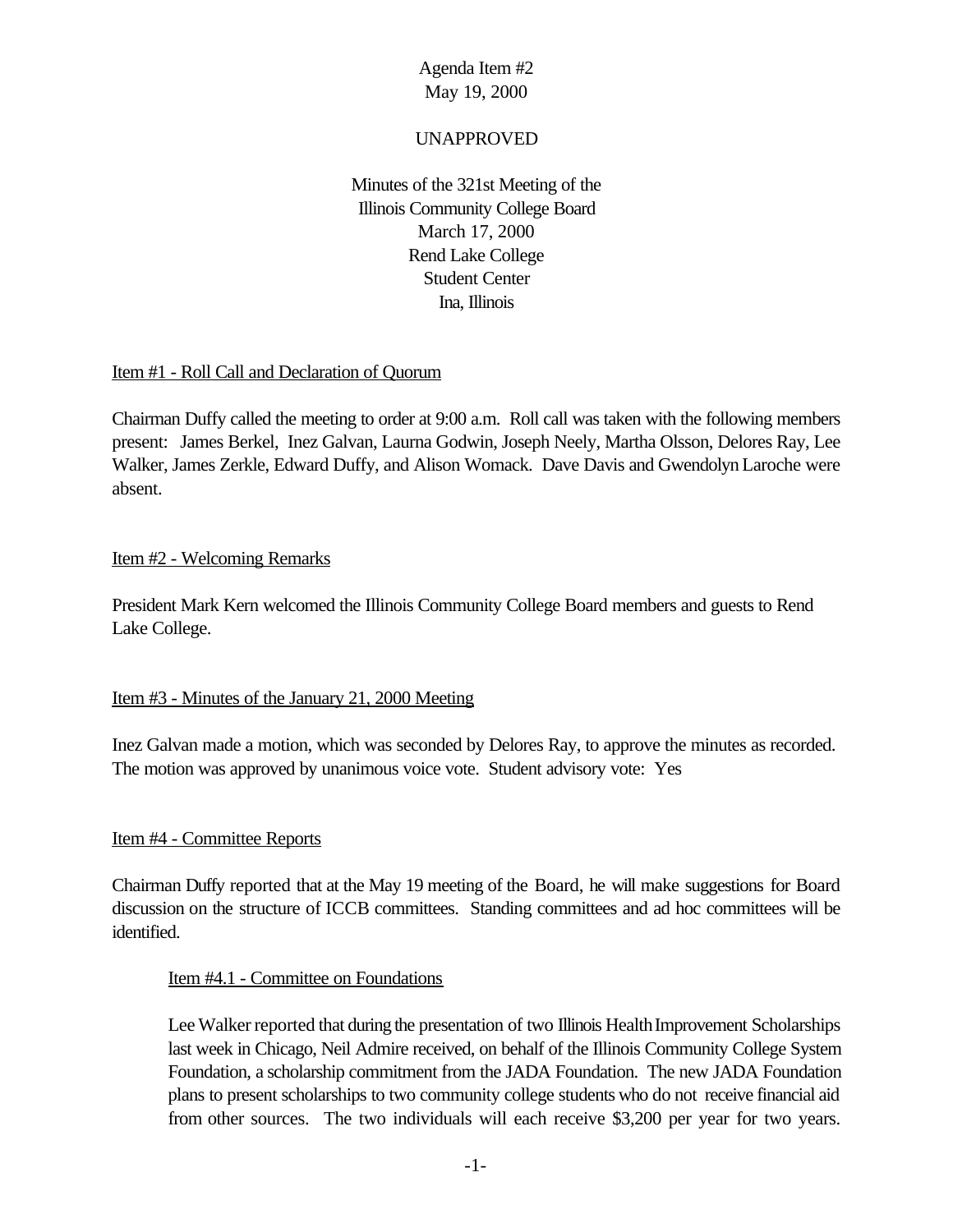# UNAPPROVED

Minutes of the 321st Meeting of the Illinois Community College Board March 17, 2000 Rend Lake College Student Center Ina, Illinois

# Item #1 - Roll Call and Declaration of Quorum

Chairman Duffy called the meeting to order at 9:00 a.m. Roll call was taken with the following members present: James Berkel, Inez Galvan, Laurna Godwin, Joseph Neely, Martha Olsson, Delores Ray, Lee Walker, James Zerkle, Edward Duffy, and Alison Womack. Dave Davis and GwendolynLaroche were absent.

# Item #2 - Welcoming Remarks

President Mark Kern welcomed the Illinois Community College Board members and guests to Rend Lake College.

# Item #3 - Minutes of the January 21, 2000 Meeting

Inez Galvan made a motion, which was seconded by Delores Ray, to approve the minutes as recorded. The motion was approved by unanimous voice vote. Student advisory vote: Yes

# Item #4 - Committee Reports

Chairman Duffy reported that at the May 19 meeting of the Board, he will make suggestions for Board discussion on the structure of ICCB committees. Standing committees and ad hoc committees will be identified.

# Item #4.1 - Committee on Foundations

Lee Walker reported that during the presentation of two Illinois Health Improvement Scholarships last week in Chicago, Neil Admire received, on behalf of the Illinois Community College System Foundation, a scholarship commitment from the JADA Foundation. The new JADA Foundation plans to present scholarships to two community college students who do not receive financial aid from other sources. The two individuals will each receive \$3,200 per year for two years.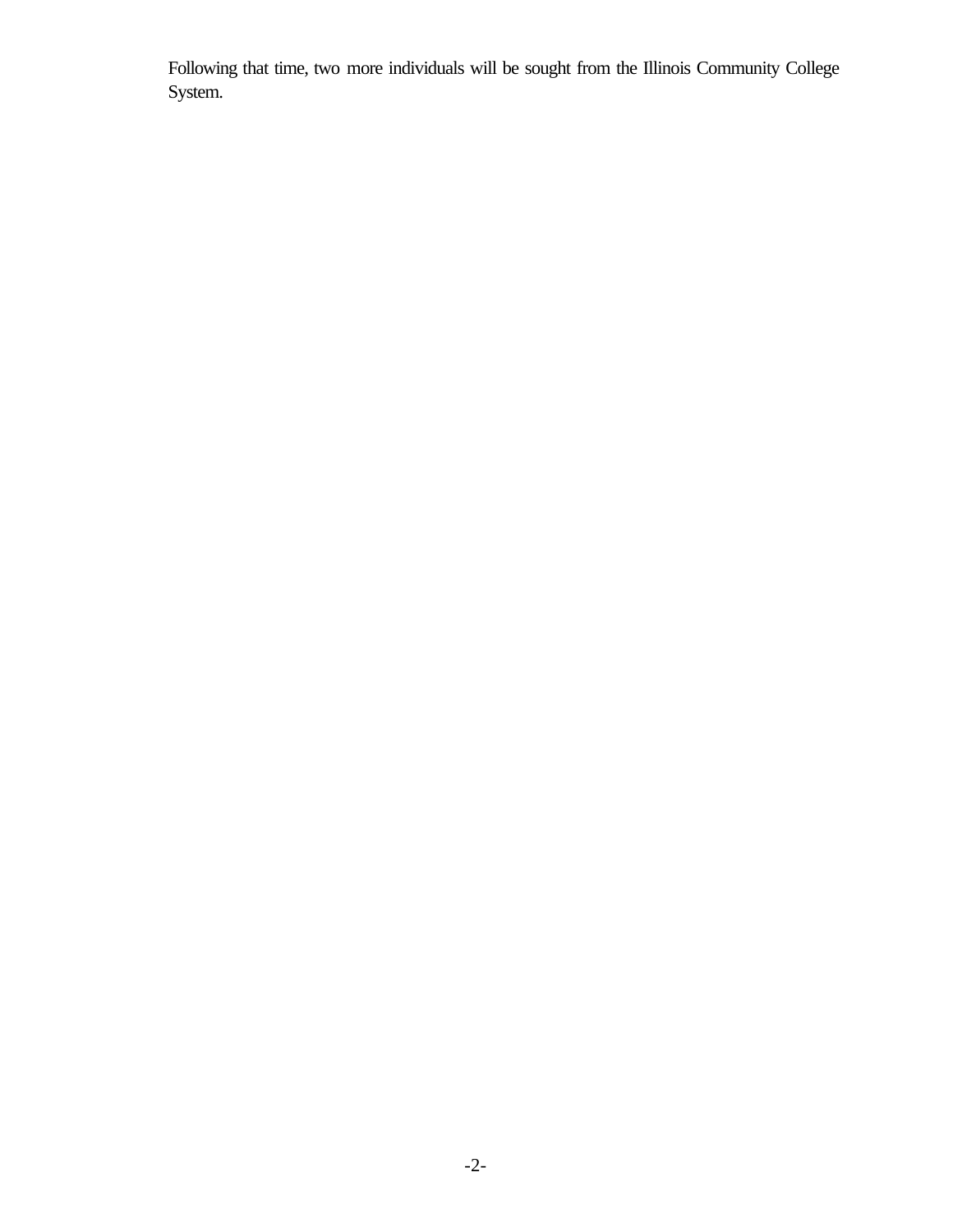Following that time, two more individuals will be sought from the Illinois Community College System.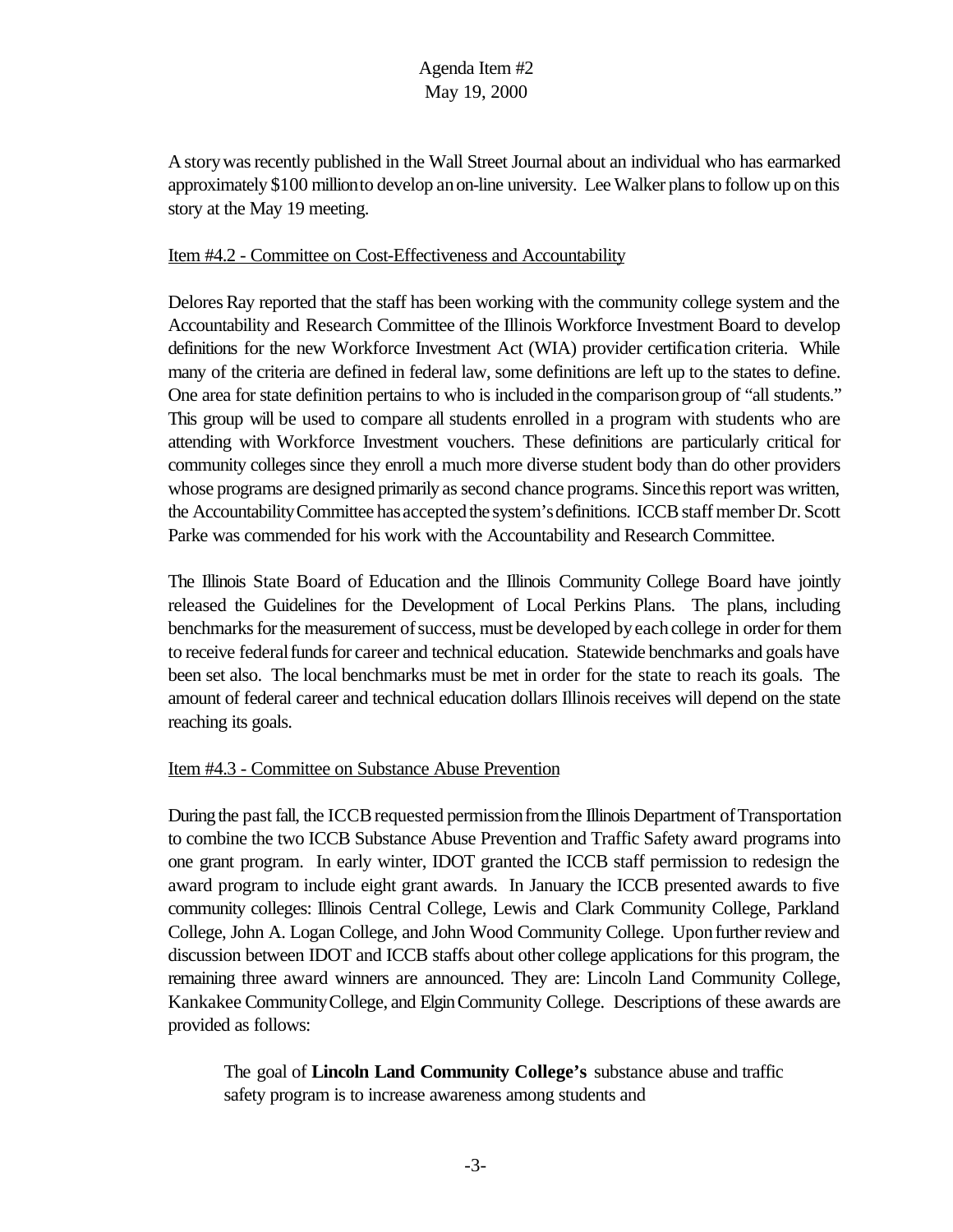A story was recently published in the Wall Street Journal about an individual who has earmarked approximately \$100 millionto develop anon-line university. Lee Walker plans to follow up on this story at the May 19 meeting.

#### Item #4.2 - Committee on Cost-Effectiveness and Accountability

Delores Ray reported that the staff has been working with the community college system and the Accountability and Research Committee of the Illinois Workforce Investment Board to develop definitions for the new Workforce Investment Act (WIA) provider certification criteria. While many of the criteria are defined in federal law, some definitions are left up to the states to define. One area for state definition pertains to who is included inthe comparisongroup of "all students." This group will be used to compare all students enrolled in a program with students who are attending with Workforce Investment vouchers. These definitions are particularly critical for community colleges since they enroll a much more diverse student body than do other providers whose programs are designed primarily as second chance programs. Since this report was written, the Accountability Committee has accepted the system's definitions. ICCB staff member Dr. Scott Parke was commended for his work with the Accountability and Research Committee.

The Illinois State Board of Education and the Illinois Community College Board have jointly released the Guidelines for the Development of Local Perkins Plans. The plans, including benchmarks for the measurement of success, must be developed by each college in order for them to receive federal funds for career and technical education. Statewide benchmarks and goals have been set also. The local benchmarks must be met in order for the state to reach its goals. The amount of federal career and technical education dollars Illinois receives will depend on the state reaching its goals.

#### Item #4.3 - Committee on Substance Abuse Prevention

During the past fall, the ICCB requested permission from the Illinois Department of Transportation to combine the two ICCB Substance Abuse Prevention and Traffic Safety award programs into one grant program. In early winter, IDOT granted the ICCB staff permission to redesign the award program to include eight grant awards. In January the ICCB presented awards to five community colleges: Illinois Central College, Lewis and Clark Community College, Parkland College, John A. Logan College, and John Wood Community College. Upon further review and discussion between IDOT and ICCB staffs about other college applications for this program, the remaining three award winners are announced. They are: Lincoln Land Community College, Kankakee CommunityCollege, and ElginCommunity College. Descriptions of these awards are provided as follows:

The goal of **Lincoln Land Community College's** substance abuse and traffic safety program is to increase awareness among students and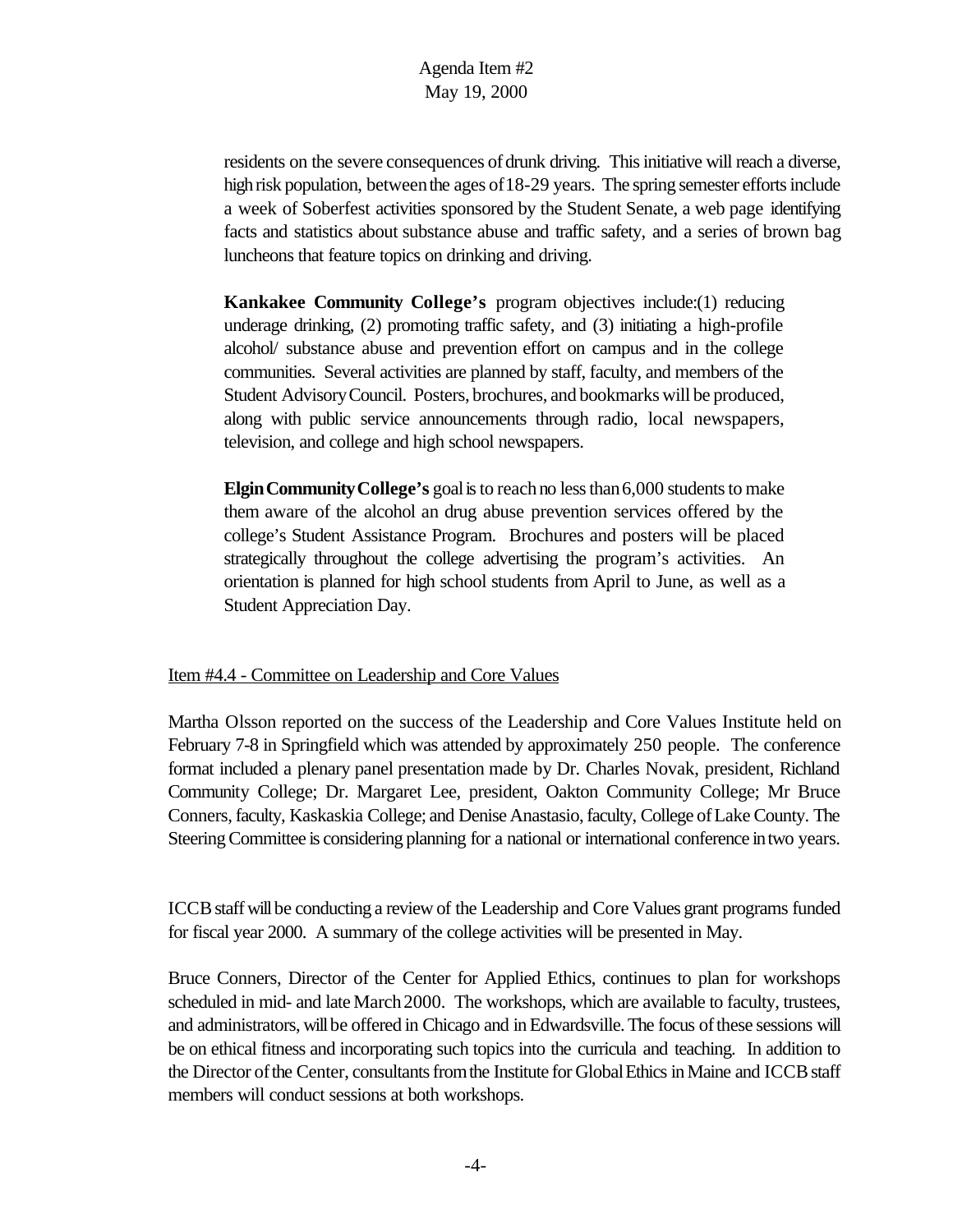residents on the severe consequences of drunk driving. This initiative will reach a diverse, high risk population, between the ages of 18-29 years. The spring semester efforts include a week of Soberfest activities sponsored by the Student Senate, a web page identifying facts and statistics about substance abuse and traffic safety, and a series of brown bag luncheons that feature topics on drinking and driving.

**Kankakee Community College's** program objectives include:(1) reducing underage drinking, (2) promoting traffic safety, and (3) initiating a high-profile alcohol/ substance abuse and prevention effort on campus and in the college communities. Several activities are planned by staff, faculty, and members of the Student AdvisoryCouncil. Posters, brochures, and bookmarks will be produced, along with public service announcements through radio, local newspapers, television, and college and high school newspapers.

**Elgin Community College's** goal is to reach no less than 6,000 students to make them aware of the alcohol an drug abuse prevention services offered by the college's Student Assistance Program. Brochures and posters will be placed strategically throughout the college advertising the program's activities. An orientation is planned for high school students from April to June, as well as a Student Appreciation Day.

#### Item #4.4 - Committee on Leadership and Core Values

Martha Olsson reported on the success of the Leadership and Core Values Institute held on February 7-8 in Springfield which was attended by approximately 250 people. The conference format included a plenary panel presentation made by Dr. Charles Novak, president, Richland Community College; Dr. Margaret Lee, president, Oakton Community College; Mr Bruce Conners, faculty, Kaskaskia College; and Denise Anastasio, faculty, College of Lake County. The Steering Committee is considering planning for a national or international conference in two years.

ICCB staff will be conducting a review of the Leadership and Core Values grant programs funded for fiscal year 2000. A summary of the college activities will be presented in May.

Bruce Conners, Director of the Center for Applied Ethics, continues to plan for workshops scheduled in mid- and late March 2000. The workshops, which are available to faculty, trustees, and administrators, will be offered in Chicago and in Edwardsville. The focus of these sessions will be on ethical fitness and incorporating such topics into the curricula and teaching. In addition to the Director of the Center, consultants from the Institute for Global Ethics in Maine and ICCB staff members will conduct sessions at both workshops.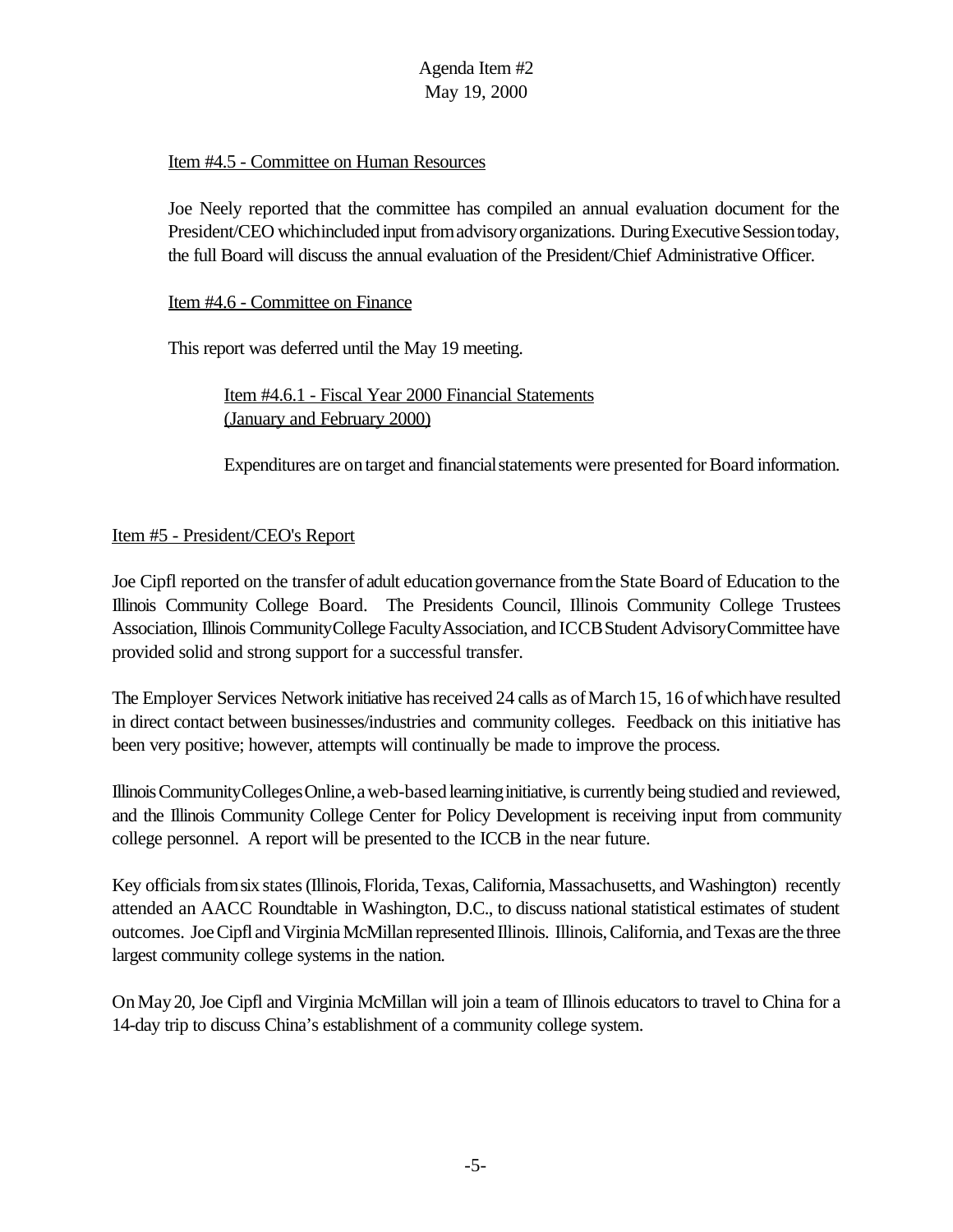# Item #4.5 - Committee on Human Resources

Joe Neely reported that the committee has compiled an annual evaluation document for the President/CEO whichincluded input fromadvisoryorganizations. During Executive Session today, the full Board will discuss the annual evaluation of the President/Chief Administrative Officer.

### Item #4.6 - Committee on Finance

This report was deferred until the May 19 meeting.

Item #4.6.1 - Fiscal Year 2000 Financial Statements (January and February 2000)

Expenditures are on target and financial statements were presented for Board information.

# Item #5 - President/CEO's Report

Joe Cipfl reported on the transfer of adult educationgovernance fromthe State Board of Education to the Illinois Community College Board. The Presidents Council, Illinois Community College Trustees Association, Illinois CommunityCollege FacultyAssociation, and ICCBStudent AdvisoryCommittee have provided solid and strong support for a successful transfer.

The Employer Services Network initiative has received 24 calls as of March 15, 16 of which have resulted in direct contact between businesses/industries and community colleges. Feedback on this initiative has been very positive; however, attempts will continually be made to improve the process.

Illinois Community Colleges Online, a web-based learning initiative, is currently being studied and reviewed, and the Illinois Community College Center for Policy Development is receiving input from community college personnel. A report will be presented to the ICCB in the near future.

Key officials from six states (Illinois, Florida, Texas, California, Massachusetts, and Washington) recently attended an AACC Roundtable in Washington, D.C., to discuss national statistical estimates of student outcomes. Joe Cipfl and Virginia McMillan represented Illinois. Illinois, California, and Texas are the three largest community college systems in the nation.

OnMay20, Joe Cipfl and Virginia McMillan will join a team of Illinois educators to travel to China for a 14-day trip to discuss China's establishment of a community college system.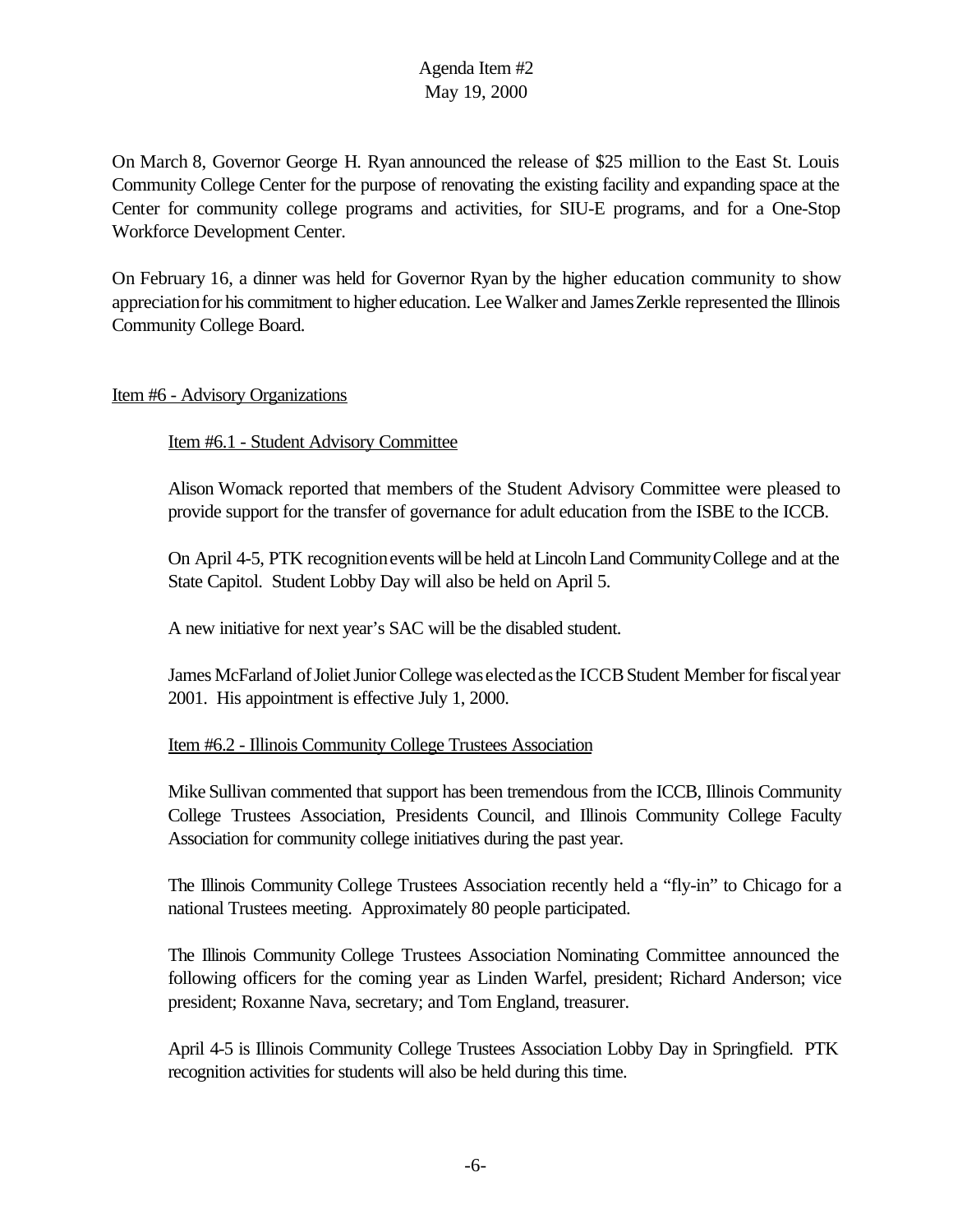On March 8, Governor George H. Ryan announced the release of \$25 million to the East St. Louis Community College Center for the purpose of renovating the existing facility and expanding space at the Center for community college programs and activities, for SIU-E programs, and for a One-Stop Workforce Development Center.

On February 16, a dinner was held for Governor Ryan by the higher education community to show appreciationfor his commitment to higher education. Lee Walker and JamesZerkle represented the Illinois Community College Board.

### Item #6 - Advisory Organizations

# Item #6.1 - Student Advisory Committee

Alison Womack reported that members of the Student Advisory Committee were pleased to provide support for the transfer of governance for adult education from the ISBE to the ICCB.

On April 4-5, PTK recognition events will be held at Lincoln Land Community College and at the State Capitol. Student Lobby Day will also be held on April 5.

A new initiative for next year's SAC will be the disabled student.

James McFarland of Joliet Junior College was elected as the ICCB Student Member for fiscal year 2001. His appointment is effective July 1, 2000.

# Item #6.2 - Illinois Community College Trustees Association

Mike Sullivan commented that support has been tremendous from the ICCB, Illinois Community College Trustees Association, Presidents Council, and Illinois Community College Faculty Association for community college initiatives during the past year.

The Illinois Community College Trustees Association recently held a "fly-in" to Chicago for a national Trustees meeting. Approximately 80 people participated.

The Illinois Community College Trustees Association Nominating Committee announced the following officers for the coming year as Linden Warfel, president; Richard Anderson; vice president; Roxanne Nava, secretary; and Tom England, treasurer.

April 4-5 is Illinois Community College Trustees Association Lobby Day in Springfield. PTK recognition activities for students will also be held during this time.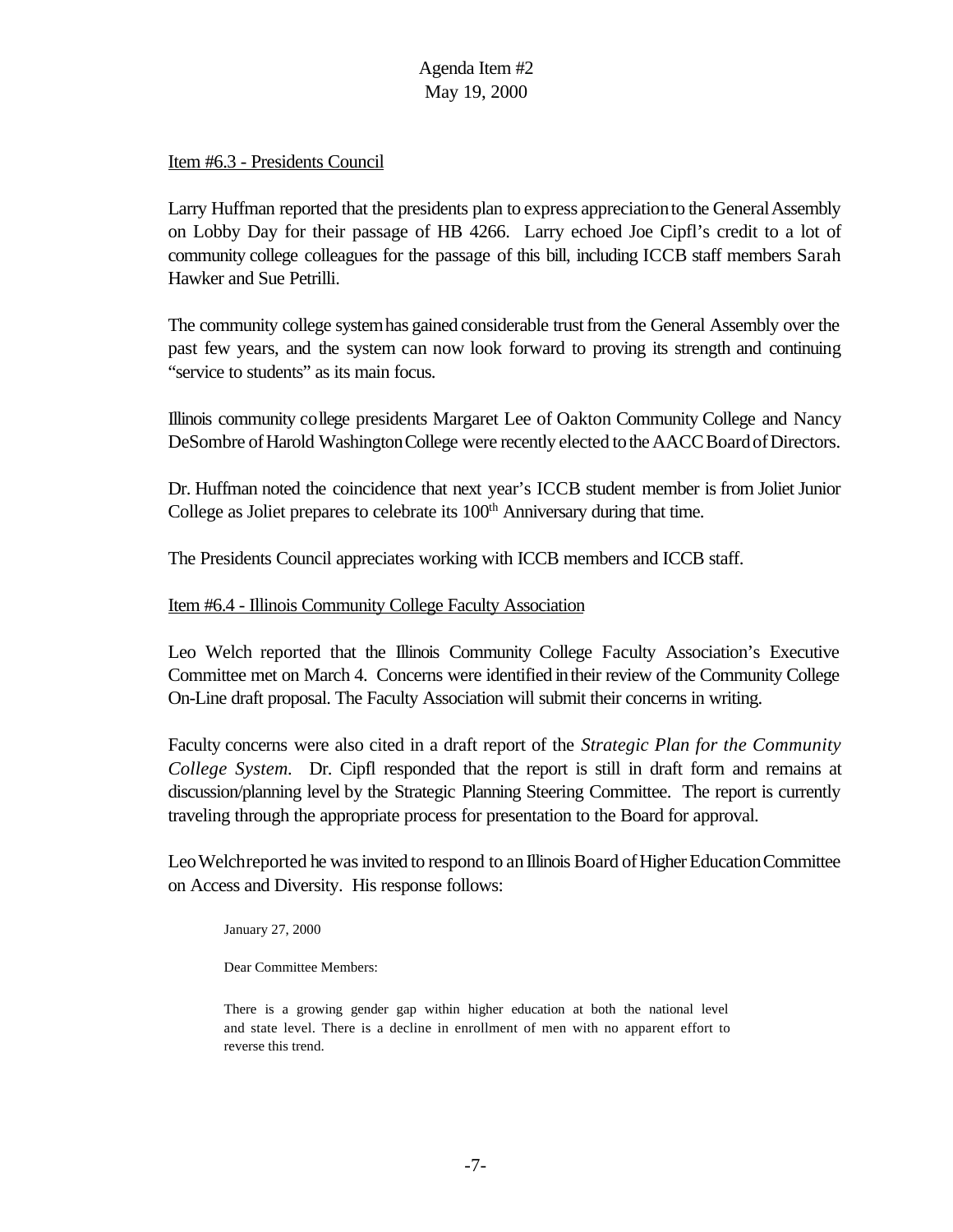### Item #6.3 - Presidents Council

Larry Huffman reported that the presidents plan to express appreciation to the General Assembly on Lobby Day for their passage of HB 4266. Larry echoed Joe Cipfl's credit to a lot of community college colleagues for the passage of this bill, including ICCB staff members Sarah Hawker and Sue Petrilli.

The community college system has gained considerable trust from the General Assembly over the past few years, and the system can now look forward to proving its strength and continuing "service to students" as its main focus.

Illinois community college presidents Margaret Lee of Oakton Community College and Nancy DeSombre of Harold Washington College were recently elected to the AACC Board of Directors.

Dr. Huffman noted the coincidence that next year's ICCB student member is from Joliet Junior College as Joliet prepares to celebrate its 100<sup>th</sup> Anniversary during that time.

The Presidents Council appreciates working with ICCB members and ICCB staff.

#### Item #6.4 - Illinois Community College Faculty Association

Leo Welch reported that the Illinois Community College Faculty Association's Executive Committee met on March 4. Concerns were identified intheir review of the Community College On-Line draft proposal. The Faculty Association will submit their concerns in writing.

Faculty concerns were also cited in a draft report of the *Strategic Plan for the Community College System.* Dr. Cipfl responded that the report is still in draft form and remains at discussion/planning level by the Strategic Planning Steering Committee. The report is currently traveling through the appropriate process for presentation to the Board for approval.

Leo Welchreported he was invited to respond to an Illinois Board of Higher Education Committee on Access and Diversity. His response follows:

January 27, 2000

Dear Committee Members:

There is a growing gender gap within higher education at both the national level and state level. There is a decline in enrollment of men with no apparent effort to reverse this trend.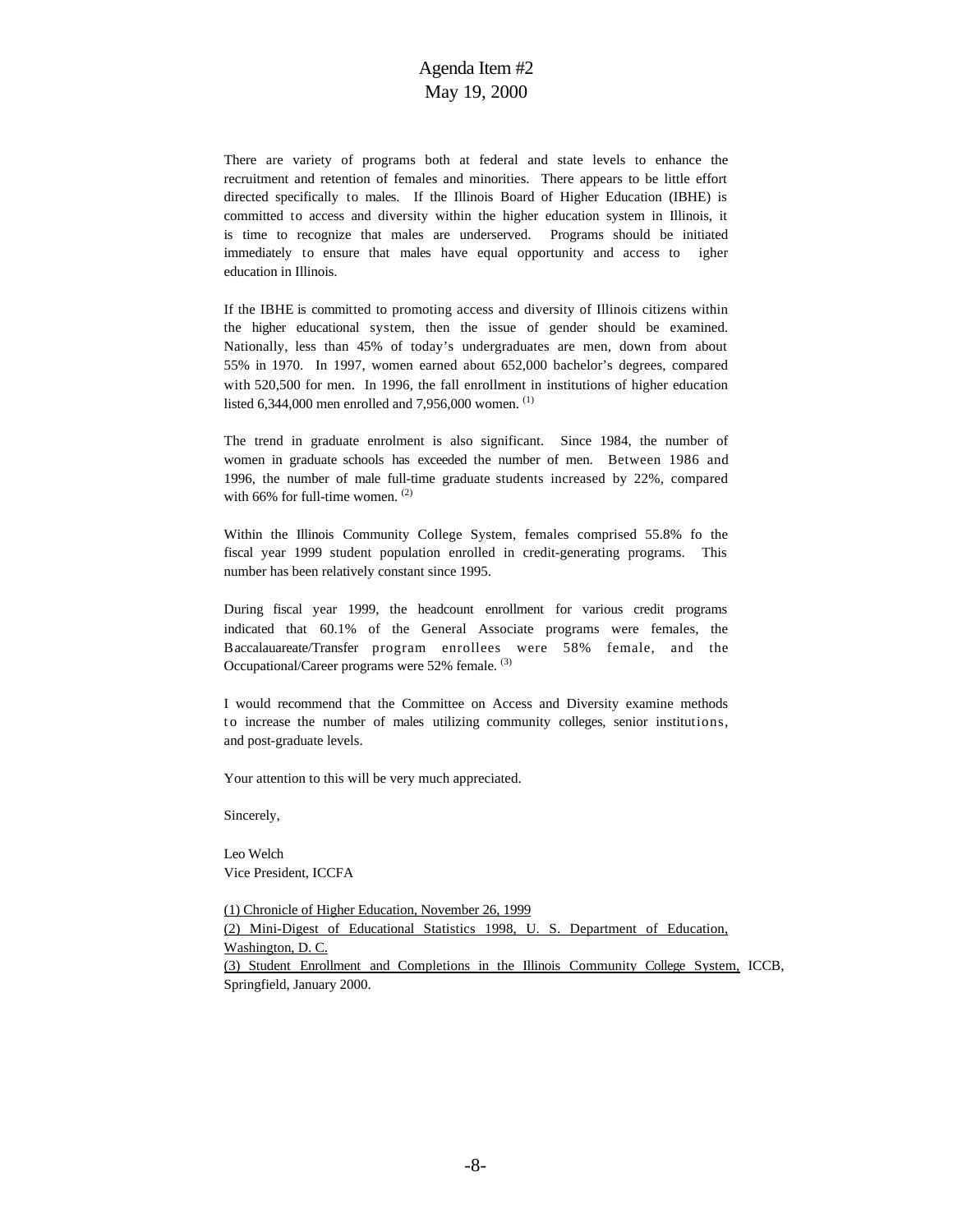There are variety of programs both at federal and state levels to enhance the recruitment and retention of females and minorities. There appears to be little effort directed specifically to males. If the Illinois Board of Higher Education (IBHE) is committed to access and diversity within the higher education system in Illinois, it is time to recognize that males are underserved. Programs should be initiated immediately to ensure that males have equal opportunity and access to igher education in Illinois.

If the IBHE is committed to promoting access and diversity of Illinois citizens within the higher educational system, then the issue of gender should be examined. Nationally, less than 45% of today's undergraduates are men, down from about 55% in 1970. In 1997, women earned about 652,000 bachelor's degrees, compared with 520,500 for men. In 1996, the fall enrollment in institutions of higher education listed 6,344,000 men enrolled and 7,956,000 women.  $(1)$ 

The trend in graduate enrolment is also significant. Since 1984, the number of women in graduate schools has exceeded the number of men. Between 1986 and 1996, the number of male full-time graduate students increased by 22%, compared with 66% for full-time women. (2)

Within the Illinois Community College System, females comprised 55.8% fo the fiscal year 1999 student population enrolled in credit-generating programs. This number has been relatively constant since 1995.

During fiscal year 1999, the headcount enrollment for various credit programs indicated that 60.1% of the General Associate programs were females, the Baccalauareate/Transfer program enrollees were 58% female, and the Occupational/Career programs were 52% female. (3)

I would recommend that the Committee on Access and Diversity examine methods t o increase the number of males utilizing community colleges, senior institutions, and post-graduate levels.

Your attention to this will be very much appreciated.

Sincerely,

Leo Welch Vice President, ICCFA

(1) Chronicle of Higher Education, November 26, 1999 (2) Mini-Digest of Educational Statistics 1998, U. S. Department of Education, Washington, D. C. (3) Student Enrollment and Completions in the Illinois Community College System, ICCB, Springfield, January 2000.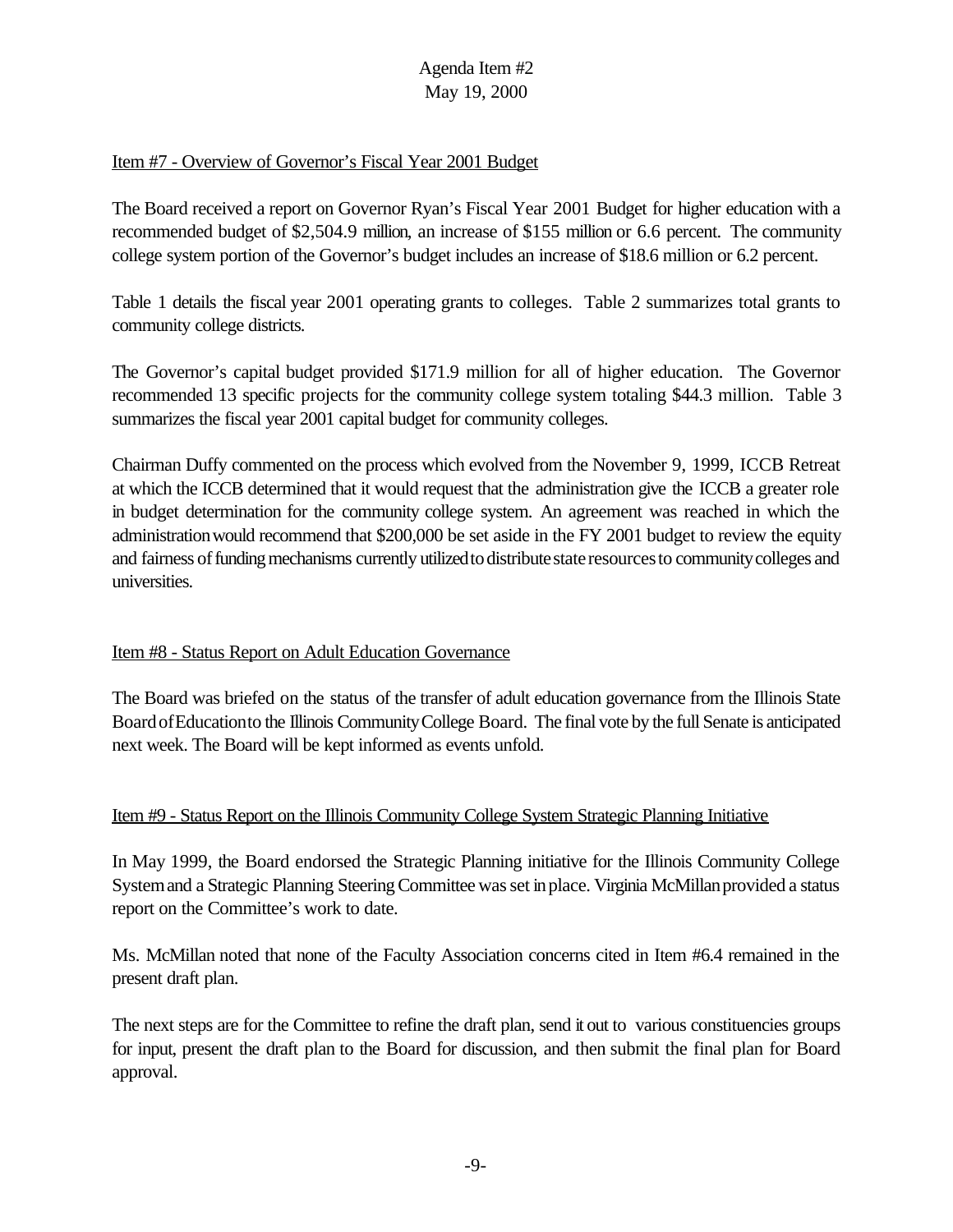### Item #7 - Overview of Governor's Fiscal Year 2001 Budget

The Board received a report on Governor Ryan's Fiscal Year 2001 Budget for higher education with a recommended budget of \$2,504.9 million, an increase of \$155 million or 6.6 percent. The community college system portion of the Governor's budget includes an increase of \$18.6 million or 6.2 percent.

Table 1 details the fiscal year 2001 operating grants to colleges. Table 2 summarizes total grants to community college districts.

The Governor's capital budget provided \$171.9 million for all of higher education. The Governor recommended 13 specific projects for the community college system totaling \$44.3 million. Table 3 summarizes the fiscal year 2001 capital budget for community colleges.

Chairman Duffy commented on the process which evolved from the November 9, 1999, ICCB Retreat at which the ICCB determined that it would request that the administration give the ICCB a greater role in budget determination for the community college system. An agreement was reached in which the administrationwould recommend that \$200,000 be set aside in the FY 2001 budget to review the equity and fairness of funding mechanisms currently utilized to distribute state resources to community colleges and universities.

# Item #8 - Status Report on Adult Education Governance

The Board was briefed on the status of the transfer of adult education governance from the Illinois State Board of Education to the Illinois Community College Board. The final vote by the full Senate is anticipated next week. The Board will be kept informed as events unfold.

#### Item #9 - Status Report on the Illinois Community College System Strategic Planning Initiative

In May 1999, the Board endorsed the Strategic Planning initiative for the Illinois Community College System and a Strategic Planning Steering Committee was set in place. Virginia McMillan provided a status report on the Committee's work to date.

Ms. McMillan noted that none of the Faculty Association concerns cited in Item #6.4 remained in the present draft plan.

The next steps are for the Committee to refine the draft plan, send it out to various constituencies groups for input, present the draft plan to the Board for discussion, and then submit the final plan for Board approval.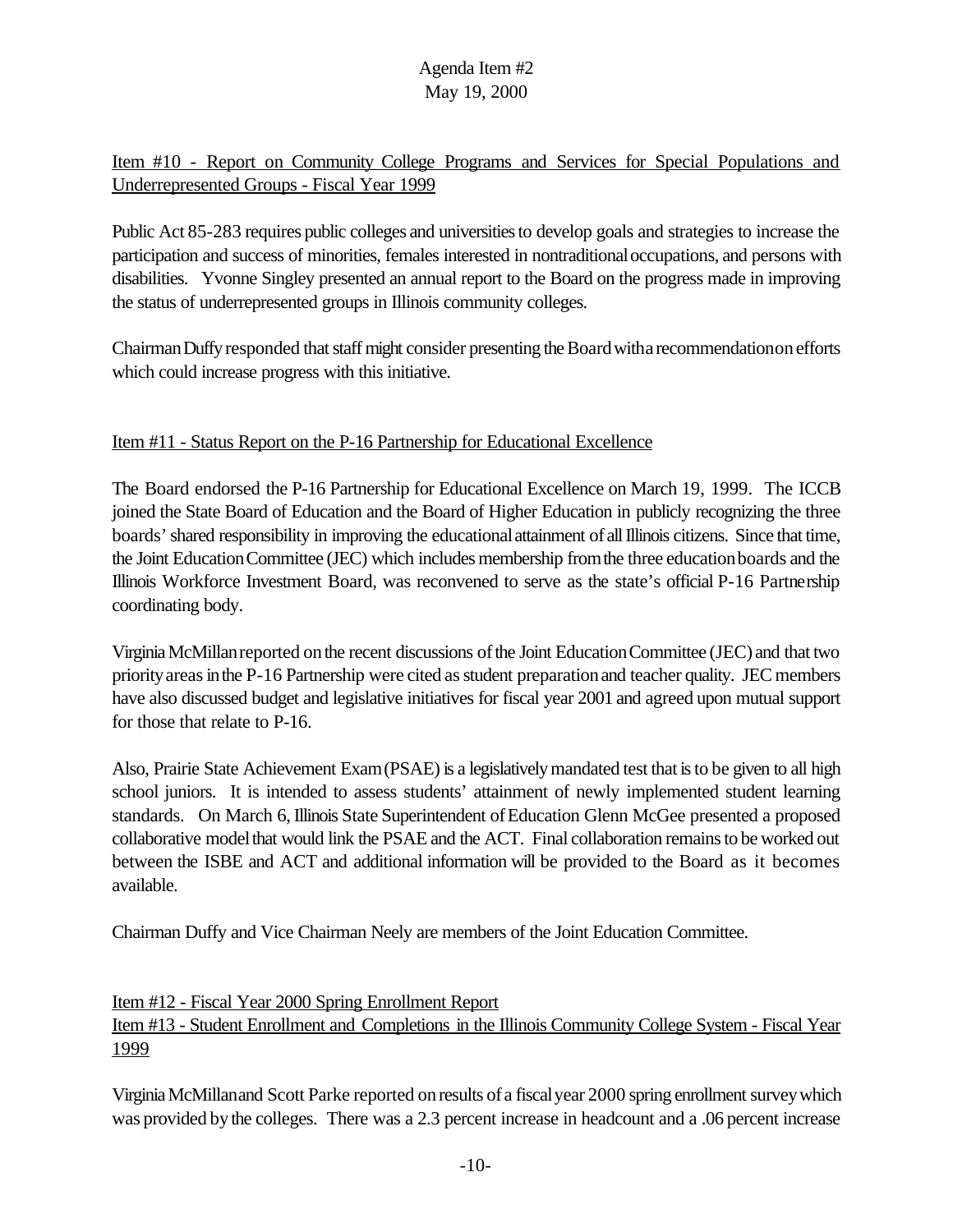Item #10 - Report on Community College Programs and Services for Special Populations and Underrepresented Groups - Fiscal Year 1999

Public Act 85-283 requires public colleges and universitiesto develop goals and strategies to increase the participation and success of minorities, females interested in nontraditionaloccupations, and persons with disabilities. Yvonne Singley presented an annual report to the Board on the progress made in improving the status of underrepresented groups in Illinois community colleges.

Chairman Duffy responded that staff might consider presenting the Board with a recommendation on efforts which could increase progress with this initiative.

# Item #11 - Status Report on the P-16 Partnership for Educational Excellence

The Board endorsed the P-16 Partnership for Educational Excellence on March 19, 1999. The ICCB joined the State Board of Education and the Board of Higher Education in publicly recognizing the three boards'shared responsibility in improving the educationalattainment of allIllinois citizens. Since that time, the Joint EducationCommittee (JEC) which includesmembership fromthe three educationboards and the Illinois Workforce Investment Board, was reconvened to serve as the state's official P-16 Partnership coordinating body.

VirginiaMcMillanreported onthe recent discussions ofthe Joint EducationCommittee (JEC) and that two priority areas in the P-16 Partnership were cited as student preparation and teacher quality. JEC members have also discussed budget and legislative initiatives for fiscal year 2001 and agreed upon mutual support for those that relate to P-16.

Also, Prairie State Achievement Exam (PSAE) is a legislatively mandated test that is to be given to all high school juniors. It is intended to assess students' attainment of newly implemented student learning standards. On March 6, Illinois State Superintendent of Education Glenn McGee presented a proposed collaborative model that would link the PSAE and the ACT. Final collaboration remains to be worked out between the ISBE and ACT and additional information will be provided to the Board as it becomes available.

Chairman Duffy and Vice Chairman Neely are members of the Joint Education Committee.

# Item #12 - Fiscal Year 2000 Spring Enrollment Report Item #13 - Student Enrollment and Completions in the Illinois Community College System - Fiscal Year 1999

VirginiaMcMillanand Scott Parke reported onresults of a fiscalyear 2000 spring enrollment surveywhich was provided by the colleges. There was a 2.3 percent increase in headcount and a .06 percent increase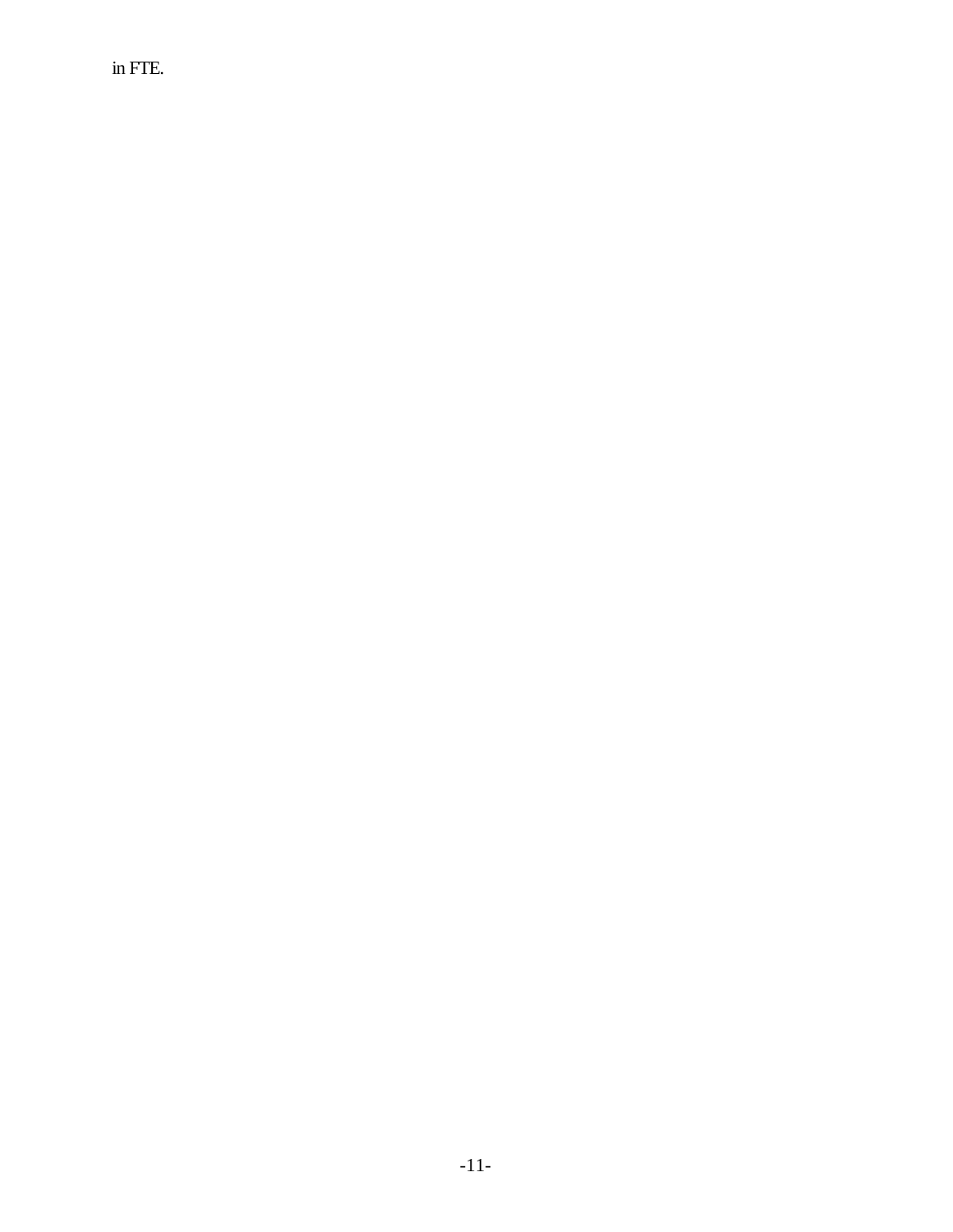in FTE.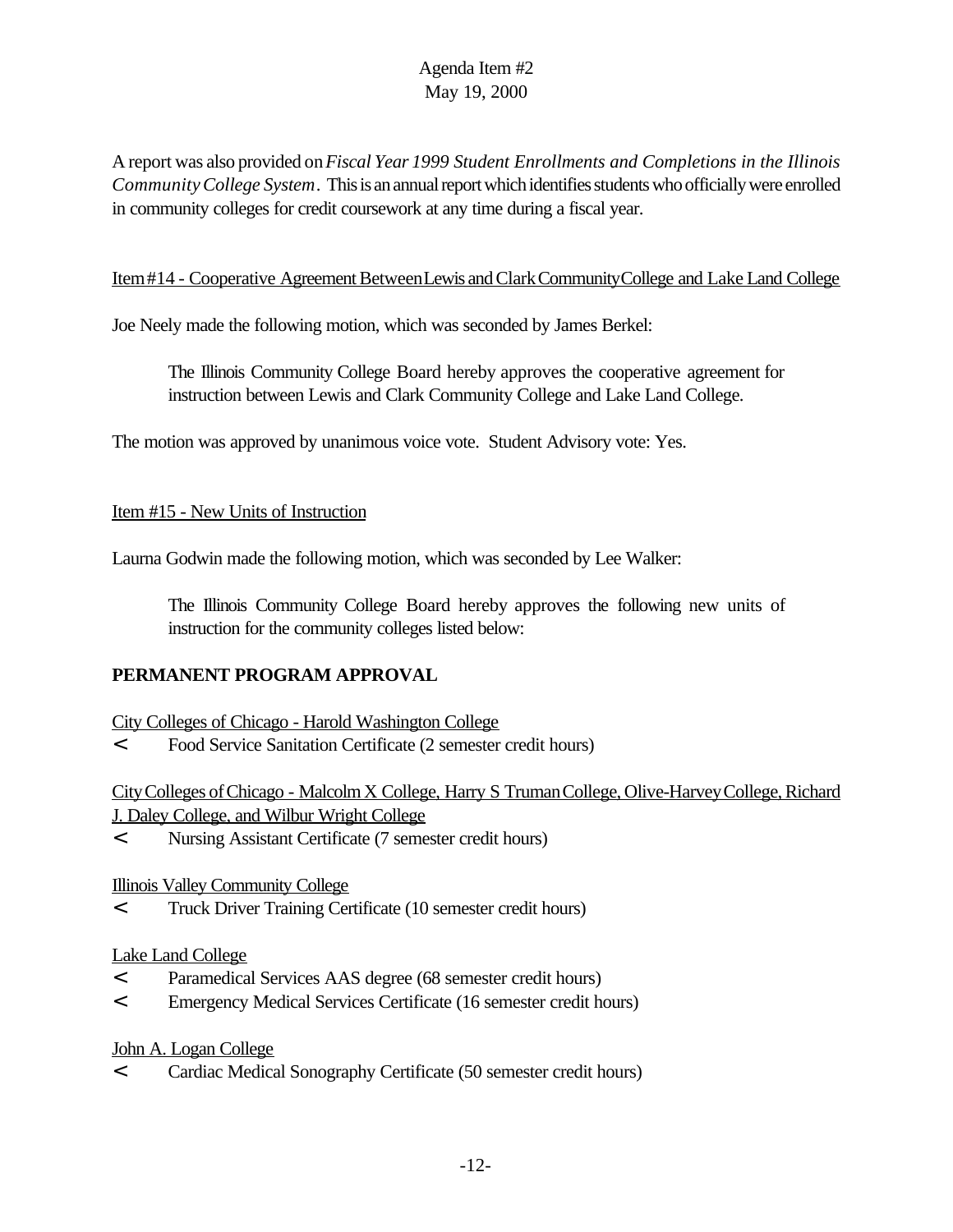A report was also provided on*Fiscal Year 1999 Student Enrollments and Completions in the Illinois CommunityCollege System*. This is an annual report which identifies students who officially were enrolled in community colleges for credit coursework at any time during a fiscal year.

### Item#14 - Cooperative Agreement BetweenLewis and Clark Community College and Lake Land College

Joe Neely made the following motion, which was seconded by James Berkel:

The Illinois Community College Board hereby approves the cooperative agreement for instruction between Lewis and Clark Community College and Lake Land College.

The motion was approved by unanimous voice vote. Student Advisory vote: Yes.

#### Item #15 - New Units of Instruction

Laurna Godwin made the following motion, which was seconded by Lee Walker:

The Illinois Community College Board hereby approves the following new units of instruction for the community colleges listed below:

# **PERMANENT PROGRAM APPROVAL**

City Colleges of Chicago - Harold Washington College

< Food Service Sanitation Certificate (2 semester credit hours)

CityColleges ofChicago - MalcolmX College, Harry S TrumanCollege, Olive-HarveyCollege,Richard J. Daley College, and Wilbur Wright College

< Nursing Assistant Certificate (7 semester credit hours)

# Illinois Valley Community College

< Truck Driver Training Certificate (10 semester credit hours)

# Lake Land College

- < Paramedical Services AAS degree (68 semester credit hours)
- < Emergency Medical Services Certificate (16 semester credit hours)

John A. Logan College

< Cardiac Medical Sonography Certificate (50 semester credit hours)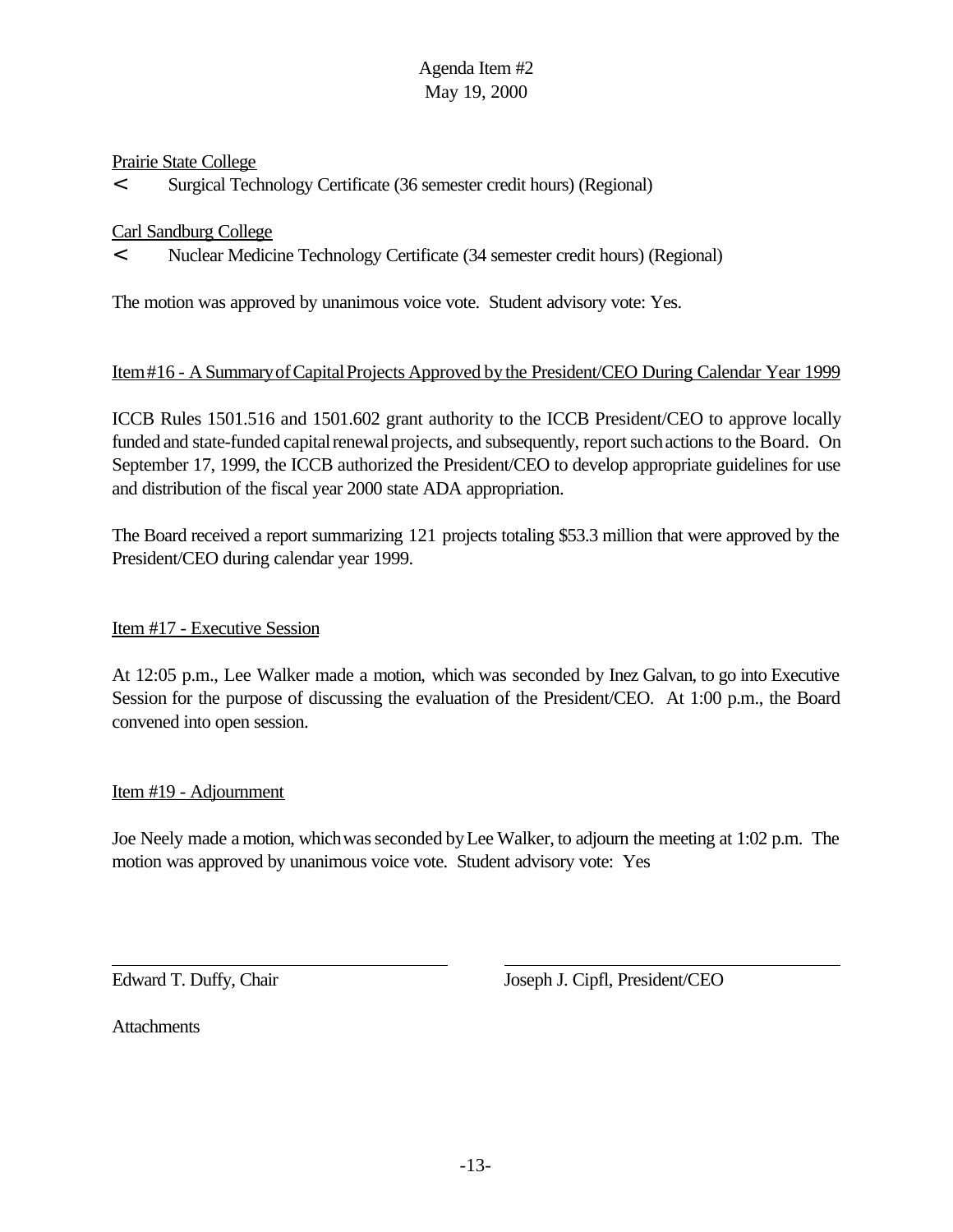### Prairie State College

< Surgical Technology Certificate (36 semester credit hours) (Regional)

### Carl Sandburg College

< Nuclear Medicine Technology Certificate (34 semester credit hours) (Regional)

The motion was approved by unanimous voice vote. Student advisory vote: Yes.

### Item#16 - A SummaryofCapitalProjects Approved bythe President/CEO During Calendar Year 1999

ICCB Rules 1501.516 and 1501.602 grant authority to the ICCB President/CEO to approve locally funded and state-funded capital renewal projects, and subsequently, report such actions to the Board. On September 17, 1999, the ICCB authorized the President/CEO to develop appropriate guidelines for use and distribution of the fiscal year 2000 state ADA appropriation.

The Board received a report summarizing 121 projects totaling \$53.3 million that were approved by the President/CEO during calendar year 1999.

# Item #17 - Executive Session

At 12:05 p.m., Lee Walker made a motion, which was seconded by Inez Galvan, to go into Executive Session for the purpose of discussing the evaluation of the President/CEO. At 1:00 p.m., the Board convened into open session.

#### Item #19 - Adjournment

Joe Neely made a motion, which was seconded by Lee Walker, to adjourn the meeting at 1:02 p.m. The motion was approved by unanimous voice vote. Student advisory vote: Yes

Edward T. Duffy, Chair Joseph J. Cipfl, President/CEO

**Attachments**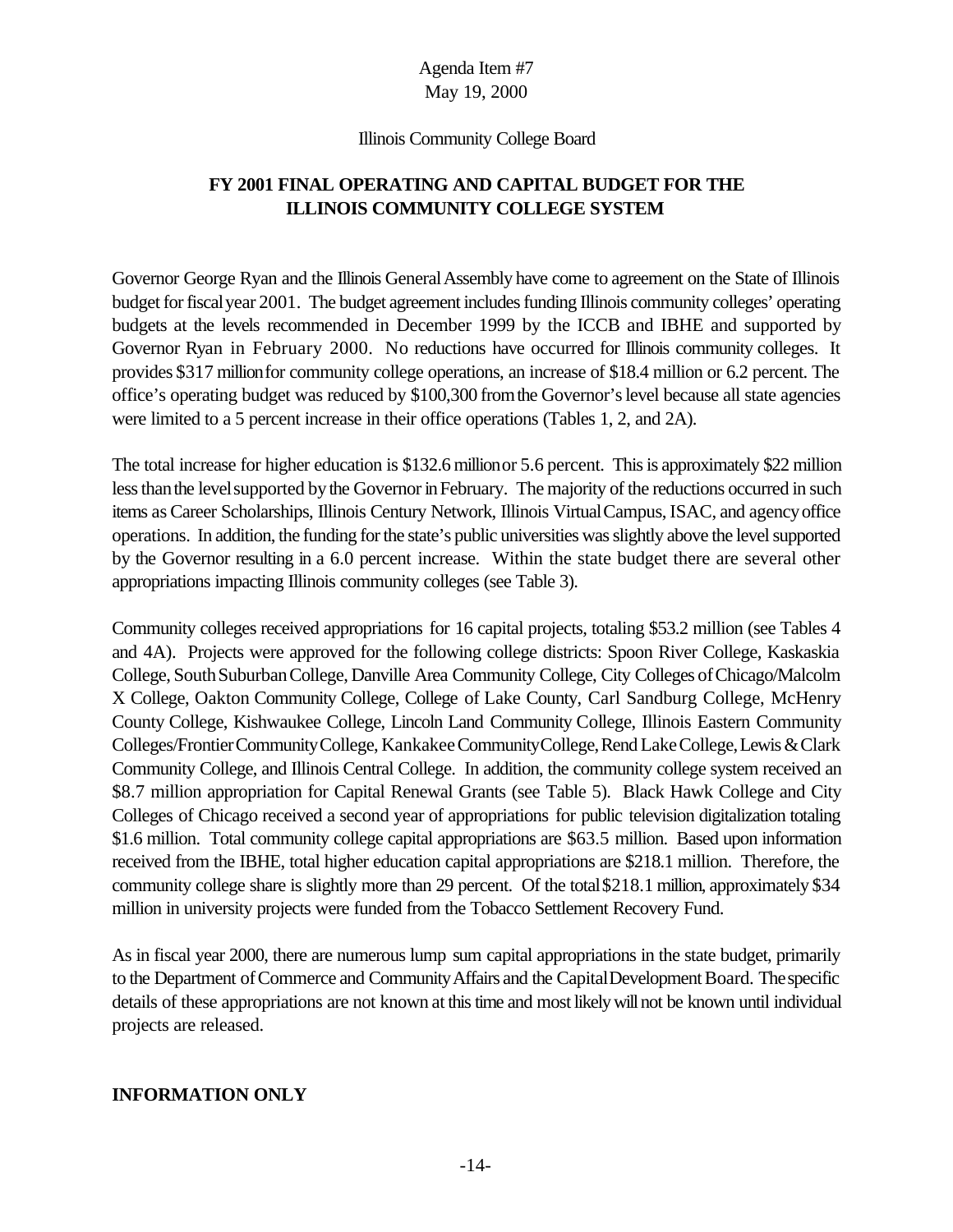#### Illinois Community College Board

# **FY 2001 FINAL OPERATING AND CAPITAL BUDGET FOR THE ILLINOIS COMMUNITY COLLEGE SYSTEM**

Governor George Ryan and the Illinois General Assembly have come to agreement on the State of Illinois budget for fiscal year 2001. The budget agreement includes funding Illinois community colleges' operating budgets at the levels recommended in December 1999 by the ICCB and IBHE and supported by Governor Ryan in February 2000.No reductions have occurred for Illinois community colleges. It provides \$317 millionfor community college operations, an increase of \$18.4 million or 6.2 percent. The office's operating budget was reduced by \$100,300 fromthe Governor'slevel because all state agencies were limited to a 5 percent increase in their office operations (Tables 1, 2, and 2A).

The total increase for higher education is \$132.6 millionor 5.6 percent. This is approximately \$22 million less than the level supported by the Governor in February. The majority of the reductions occurred in such items as Career Scholarships, Illinois Century Network, Illinois Virtual Campus, ISAC, and agency office operations. In addition, the funding for the state's public universities was slightly above the level supported by the Governor resulting in a 6.0 percent increase. Within the state budget there are several other appropriations impacting Illinois community colleges (see Table 3).

Community colleges received appropriations for 16 capital projects, totaling \$53.2 million (see Tables 4 and 4A). Projects were approved for the following college districts: Spoon River College, Kaskaskia College, South Suburban College, Danville Area Community College, City Colleges of Chicago/Malcolm X College, Oakton Community College, College of Lake County, Carl Sandburg College, McHenry County College, Kishwaukee College, Lincoln Land Community College, Illinois Eastern Community Colleges/FrontierCommunityCollege, KankakeeCommunityCollege,RendLakeCollege,Lewis&Clark Community College, and Illinois Central College. In addition, the community college system received an \$8.7 million appropriation for Capital Renewal Grants (see Table 5). Black Hawk College and City Colleges of Chicago received a second year of appropriations for public television digitalization totaling \$1.6 million. Total community college capital appropriations are \$63.5 million. Based upon information received from the IBHE, total higher education capital appropriations are \$218.1 million. Therefore, the community college share is slightly more than 29 percent. Of the total\$218.1 million, approximately \$34 million in university projects were funded from the Tobacco Settlement Recovery Fund.

As in fiscal year 2000, there are numerous lump sum capital appropriations in the state budget, primarily to the Department of Commerce and Community Affairs and the Capital Development Board. The specific details of these appropriations are not known at this time and most likely will not be known until individual projects are released.

# **INFORMATION ONLY**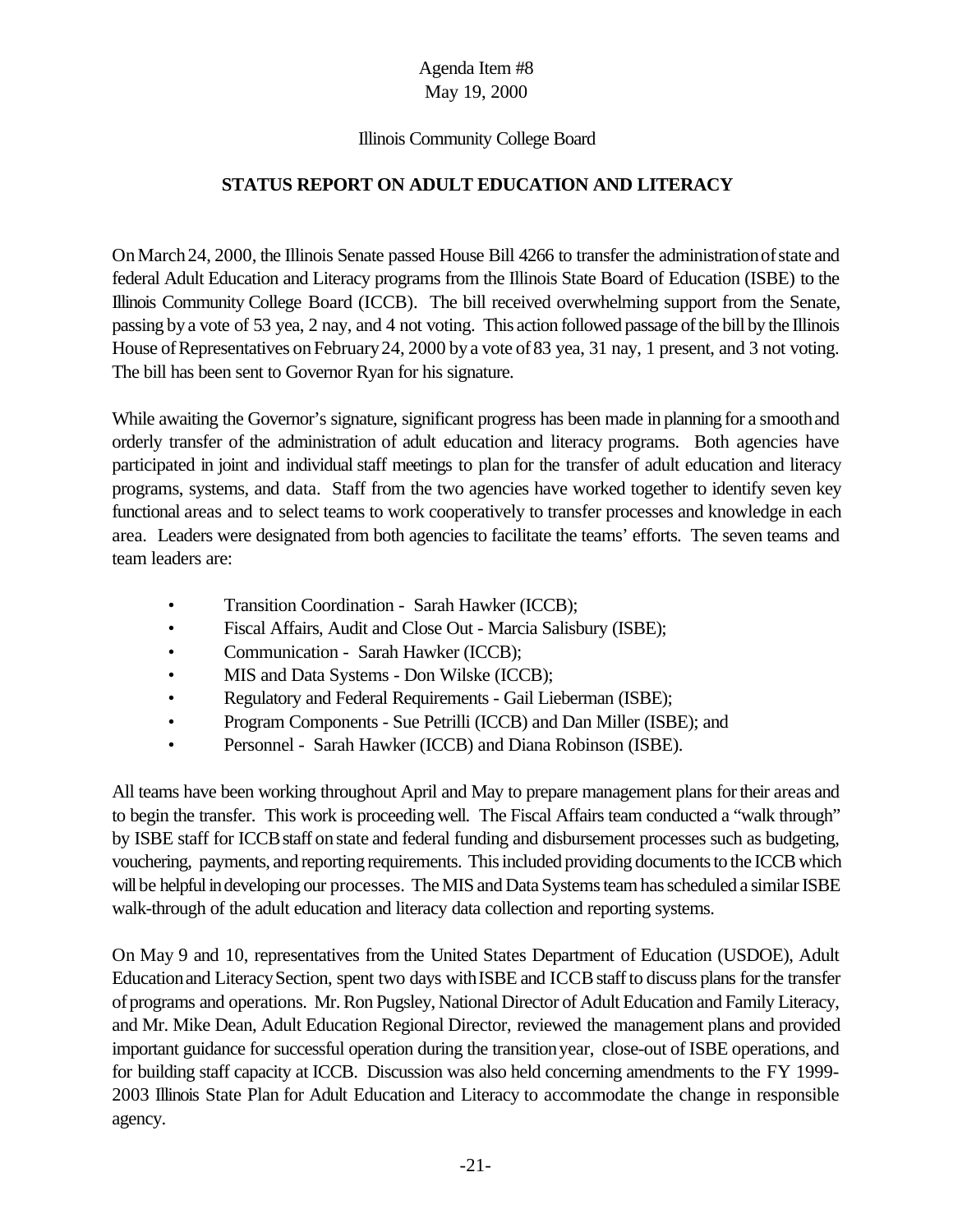### Illinois Community College Board

# **STATUS REPORT ON ADULT EDUCATION AND LITERACY**

OnMarch24, 2000, the Illinois Senate passed House Bill 4266 to transfer the administrationofstate and federal Adult Education and Literacy programs from the Illinois State Board of Education (ISBE) to the Illinois Community College Board (ICCB). The bill received overwhelming support from the Senate, passing bya vote of 53 yea, 2 nay, and 4 not voting. This action followed passage of the bill by the Illinois House of Representatives on February 24, 2000 by a vote of 83 yea, 31 nay, 1 present, and 3 not voting. The bill has been sent to Governor Ryan for his signature.

While awaiting the Governor's signature, significant progress has been made in planning for a smooth and orderly transfer of the administration of adult education and literacy programs. Both agencies have participated in joint and individual staff meetings to plan for the transfer of adult education and literacy programs, systems, and data. Staff from the two agencies have worked together to identify seven key functional areas and to select teams to work cooperatively to transfer processes and knowledge in each area. Leaders were designated from both agencies to facilitate the teams' efforts. The seven teams and team leaders are:

- Transition Coordination Sarah Hawker (ICCB);
- Fiscal Affairs, Audit and Close Out Marcia Salisbury (ISBE);
- Communication Sarah Hawker (ICCB);
- MIS and Data Systems Don Wilske (ICCB);
- Regulatory and Federal Requirements Gail Lieberman (ISBE);
- Program Components Sue Petrilli (ICCB) and Dan Miller (ISBE); and
- Personnel Sarah Hawker (ICCB) and Diana Robinson (ISBE).

All teams have been working throughout April and May to prepare management plans fortheir areas and to begin the transfer. This work is proceeding well. The Fiscal Affairs team conducted a "walk through" by ISBE staff for ICCB staff on state and federal funding and disbursement processes such as budgeting, vouchering, payments, and reporting requirements. This included providing documents to the ICCB which will be helpful in developing our processes. The MIS and Data Systems team has scheduled a similar ISBE walk-through of the adult education and literacy data collection and reporting systems.

On May 9 and 10, representatives from the United States Department of Education (USDOE), Adult Education and Literacy Section, spent two days with ISBE and ICCB staff to discuss plans for the transfer ofprograms and operations. Mr. Ron Pugsley, National Director of Adult Education and Family Literacy, and Mr. Mike Dean, Adult Education Regional Director, reviewed the management plans and provided important guidance for successful operation during the transitionyear, close-out of ISBE operations, and for building staff capacity at ICCB. Discussion was also held concerning amendments to the FY 1999- 2003 Illinois State Plan for Adult Education and Literacy to accommodate the change in responsible agency.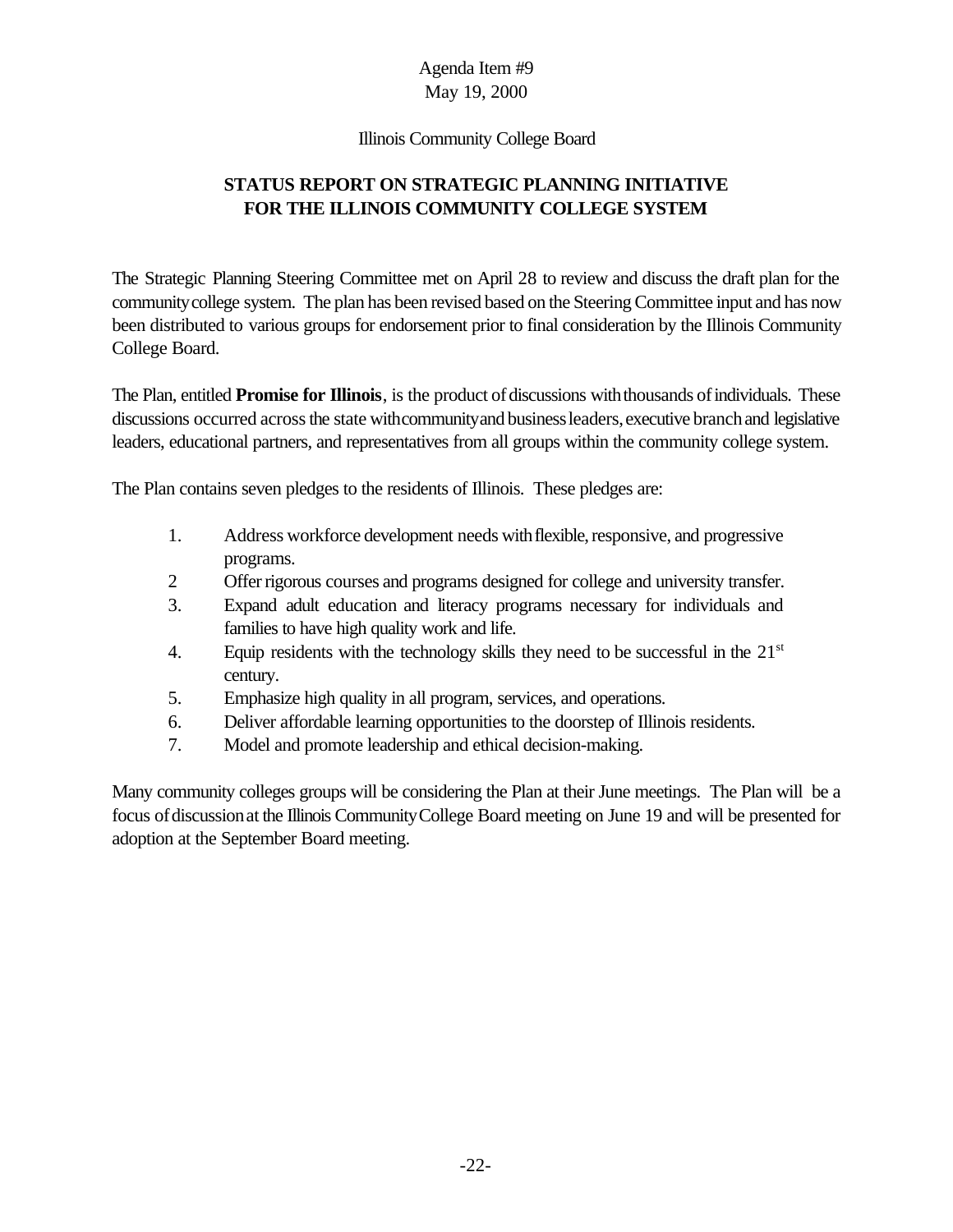### Illinois Community College Board

# **STATUS REPORT ON STRATEGIC PLANNING INITIATIVE FOR THE ILLINOIS COMMUNITY COLLEGE SYSTEM**

The Strategic Planning Steering Committee met on April 28 to review and discuss the draft plan for the communitycollege system. The plan has been revised based on the Steering Committee input and has now been distributed to various groups for endorsement prior to final consideration by the Illinois Community College Board.

The Plan, entitled **Promise for Illinois**, is the product of discussions with thousands of individuals. These discussions occurred across the state with community and business leaders, executive branch and legislative leaders, educational partners, and representatives from all groups within the community college system.

The Plan contains seven pledges to the residents of Illinois. These pledges are:

- 1. Address workforce development needs with flexible, responsive, and progressive programs.
- 2 Offer rigorous courses and programs designed for college and university transfer.
- 3. Expand adult education and literacy programs necessary for individuals and families to have high quality work and life.
- 4. Equip residents with the technology skills they need to be successful in the  $21<sup>st</sup>$ century.
- 5. Emphasize high quality in all program, services, and operations.
- 6. Deliver affordable learning opportunities to the doorstep of Illinois residents.
- 7. Model and promote leadership and ethical decision-making.

Many community colleges groups will be considering the Plan at their June meetings. The Plan will be a focus ofdiscussionat the Illinois CommunityCollege Board meeting on June 19 and will be presented for adoption at the September Board meeting.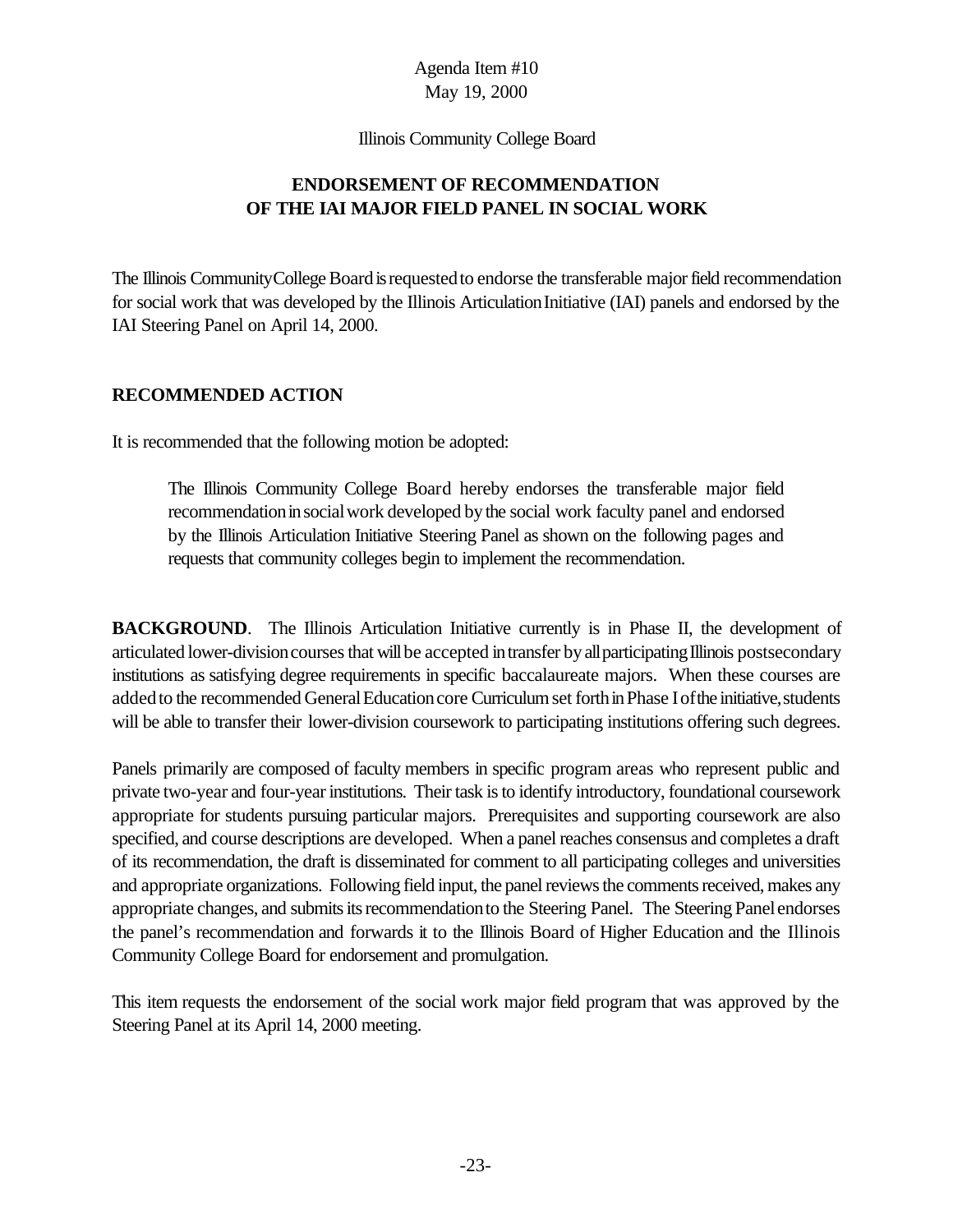Illinois Community College Board

# **ENDORSEMENT OF RECOMMENDATION OF THE IAI MAJOR FIELD PANEL IN SOCIAL WORK**

The Illinois Community College Board is requested to endorse the transferable major field recommendation for social work that was developed by the Illinois Articulation Initiative (IAI) panels and endorsed by the IAI Steering Panel on April 14, 2000.

### **RECOMMENDED ACTION**

It is recommended that the following motion be adopted:

The Illinois Community College Board hereby endorses the transferable major field recommendation in social work developed by the social work faculty panel and endorsed by the Illinois Articulation Initiative Steering Panel as shown on the following pages and requests that community colleges begin to implement the recommendation.

**BACKGROUND.** The Illinois Articulation Initiative currently is in Phase II, the development of articulated lower-division courses that will be accepted in transfer by all participating Illinois postsecondary institutions as satisfying degree requirements in specific baccalaureate majors. When these courses are added to the recommended General Education core Curriculum set forth in Phase I of the initiative, students will be able to transfer their lower-division coursework to participating institutions offering such degrees.

Panels primarily are composed of faculty members in specific program areas who represent public and private two-year and four-yearinstitutions. Their task is to identify introductory, foundational coursework appropriate for students pursuing particular majors. Prerequisites and supporting coursework are also specified, and course descriptions are developed. When a panel reaches consensus and completes a draft of its recommendation, the draft is disseminated for comment to all participating colleges and universities and appropriate organizations. Following field input, the panel reviews the comments received, makes any appropriate changes, and submits its recommendation to the Steering Panel. The Steering Panel endorses the panel's recommendation and forwards it to the Illinois Board of Higher Education and the Illinois Community College Board for endorsement and promulgation.

This item requests the endorsement of the social work major field program that was approved by the Steering Panel at its April 14, 2000 meeting.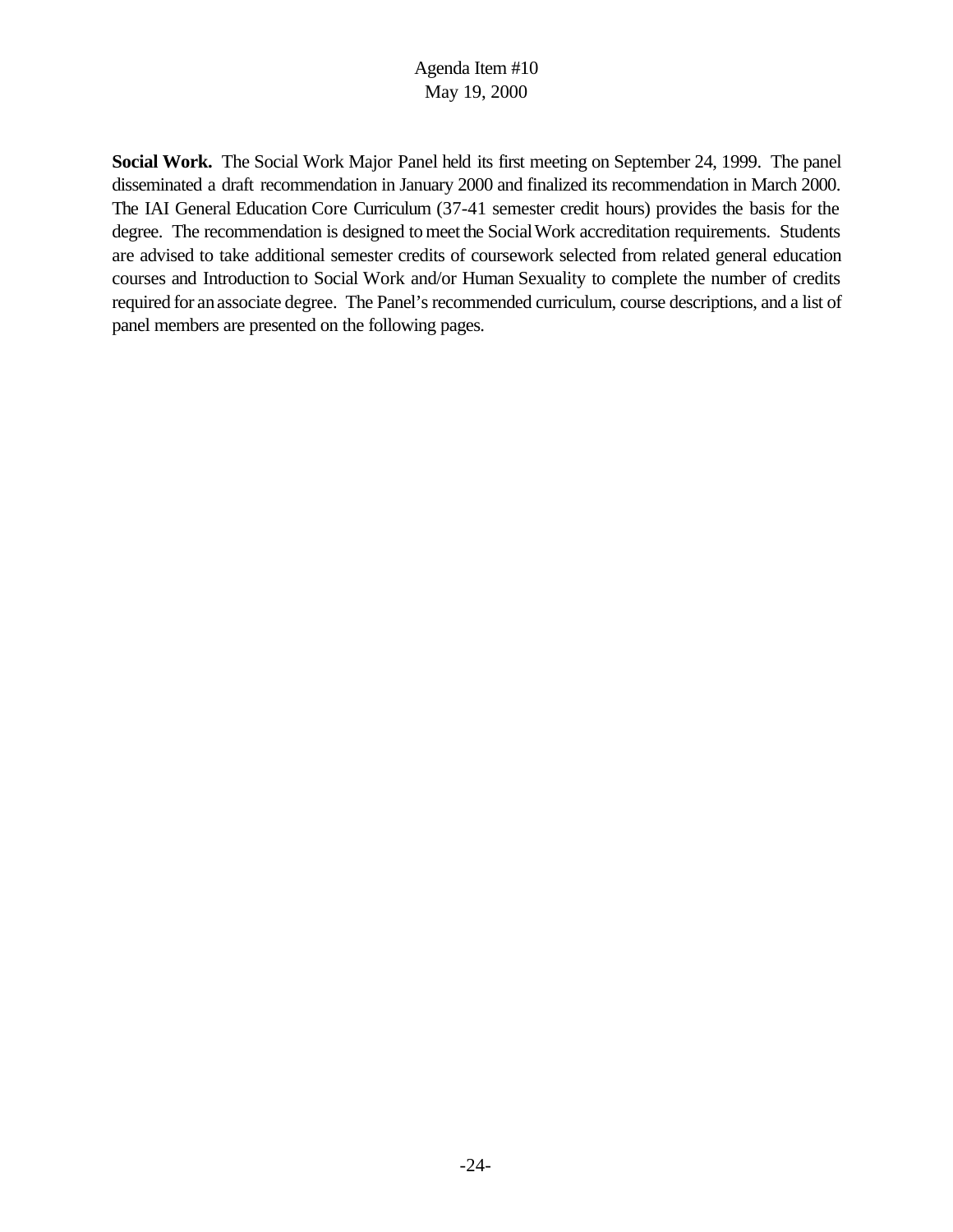**Social Work.** The Social Work Major Panel held its first meeting on September 24, 1999. The panel disseminated a draft recommendation in January 2000 and finalized its recommendation in March 2000. The IAI General Education Core Curriculum (37-41 semester credit hours) provides the basis for the degree. The recommendation is designed to meet the Social Work accreditation requirements. Students are advised to take additional semester credits of coursework selected from related general education courses and Introduction to Social Work and/or Human Sexuality to complete the number of credits required for anassociate degree. The Panel's recommended curriculum, course descriptions, and a list of panel members are presented on the following pages.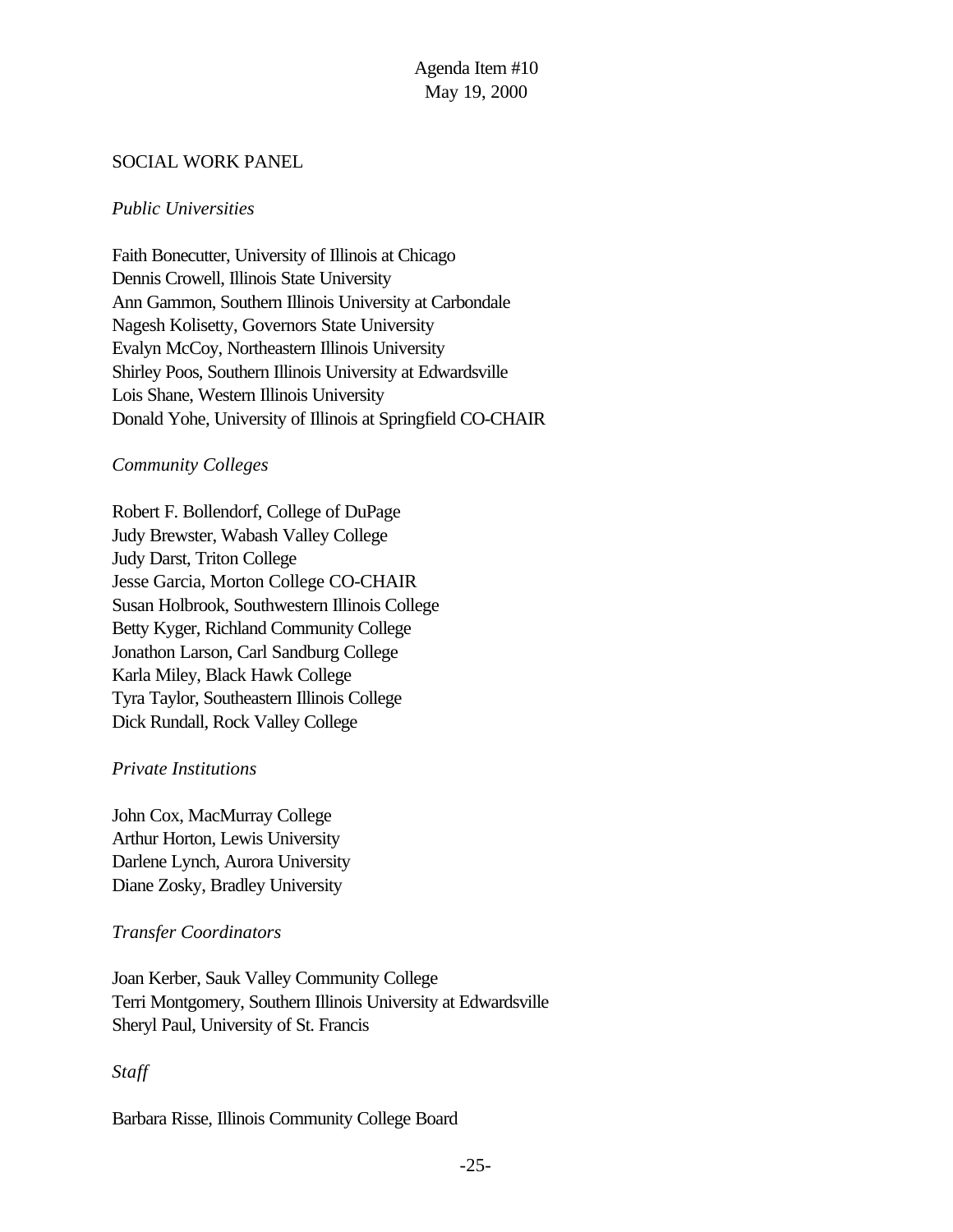# SOCIAL WORK PANEL

# *Public Universities*

Faith Bonecutter, University of Illinois at Chicago Dennis Crowell, Illinois State University Ann Gammon, Southern Illinois University at Carbondale Nagesh Kolisetty, Governors State University Evalyn McCoy, Northeastern Illinois University Shirley Poos, Southern Illinois University at Edwardsville Lois Shane, Western Illinois University Donald Yohe, University of Illinois at Springfield CO-CHAIR

### *Community Colleges*

Robert F. Bollendorf, College of DuPage Judy Brewster, Wabash Valley College Judy Darst, Triton College Jesse Garcia, Morton College CO-CHAIR Susan Holbrook, Southwestern Illinois College Betty Kyger, Richland Community College Jonathon Larson, Carl Sandburg College Karla Miley, Black Hawk College Tyra Taylor, Southeastern Illinois College Dick Rundall, Rock Valley College

# *Private Institutions*

John Cox, MacMurray College Arthur Horton, Lewis University Darlene Lynch, Aurora University Diane Zosky, Bradley University

# *Transfer Coordinators*

Joan Kerber, Sauk Valley Community College Terri Montgomery, Southern Illinois University at Edwardsville Sheryl Paul, University of St. Francis

# *Staff*

Barbara Risse, Illinois Community College Board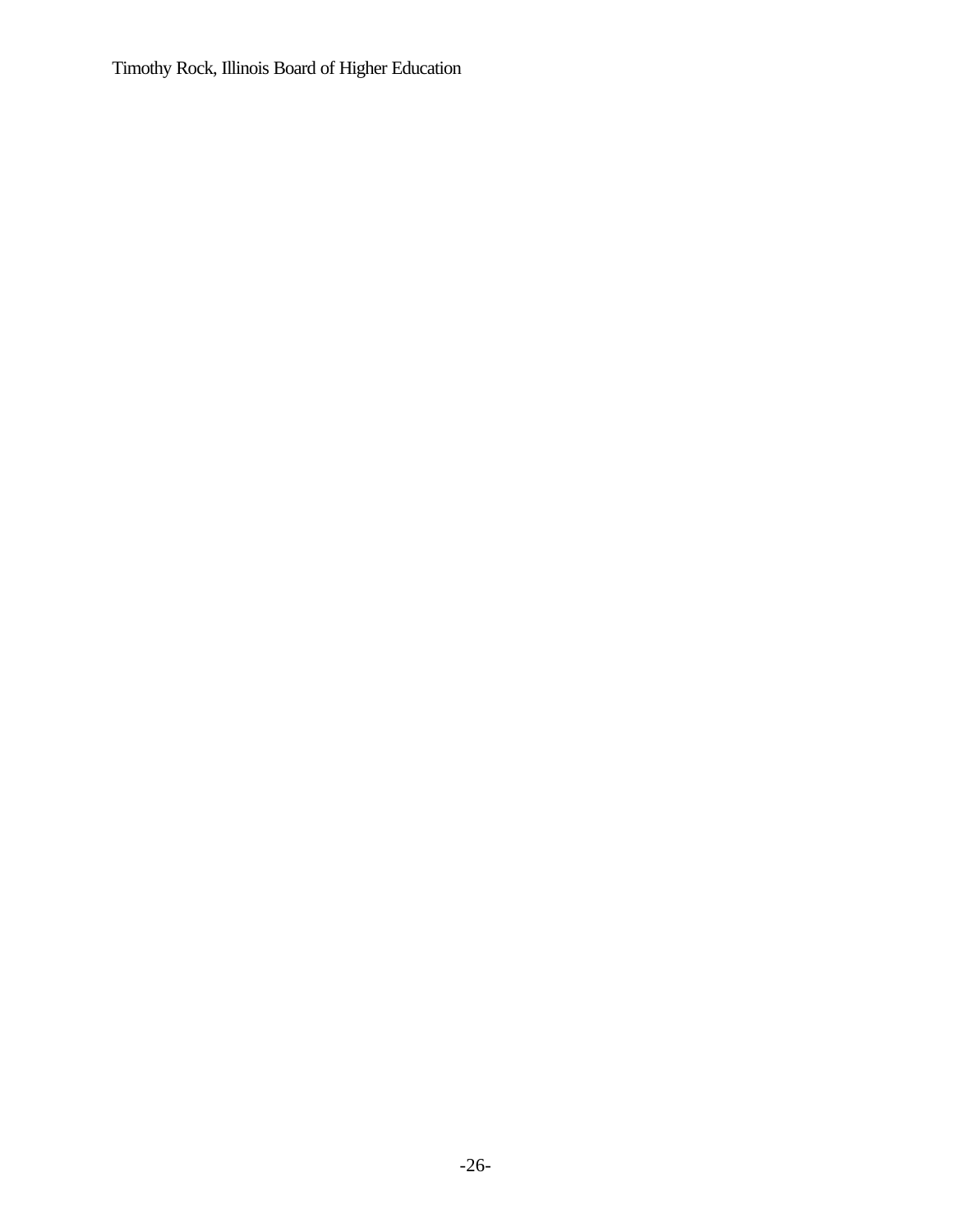Timothy Rock, Illinois Board of Higher Education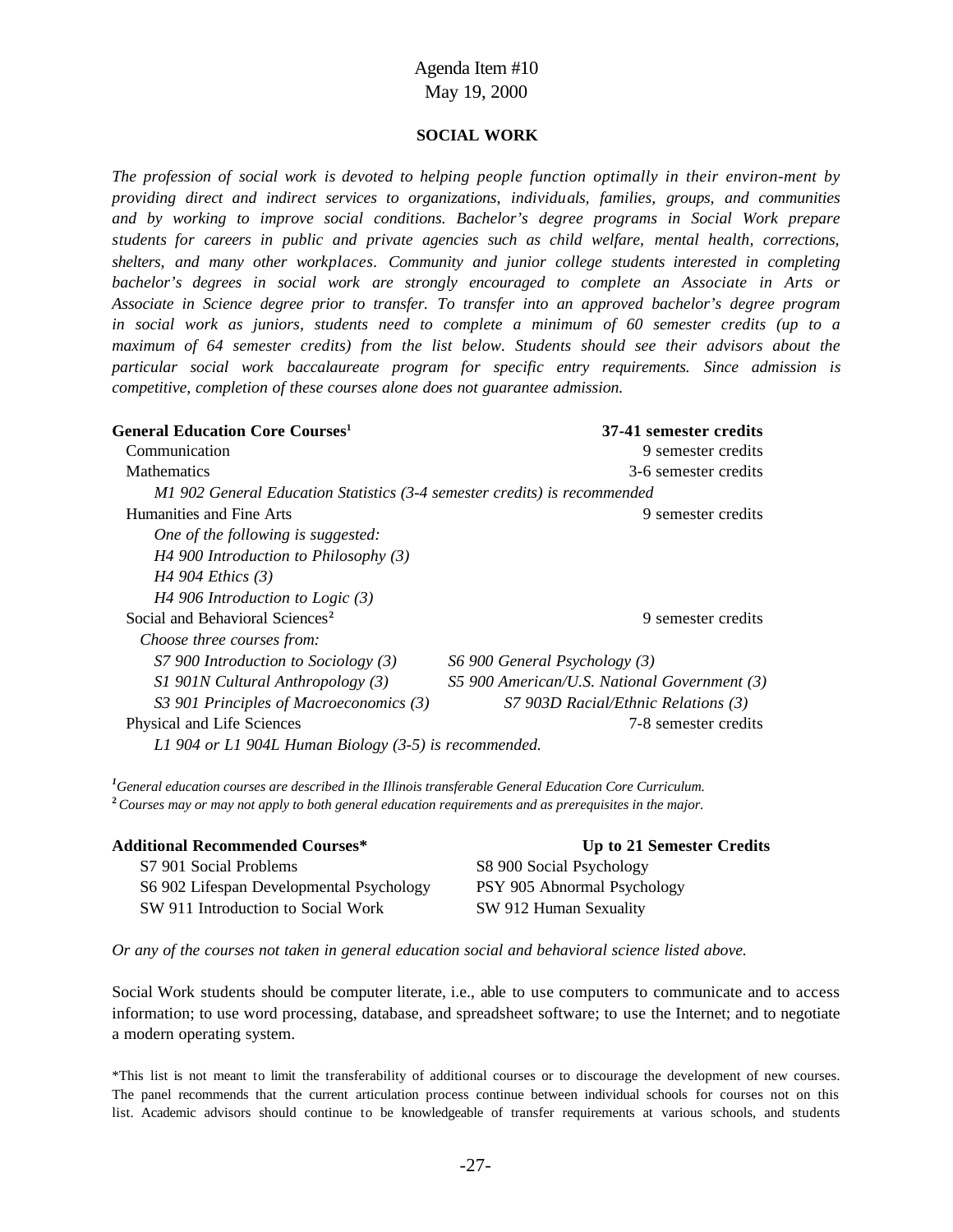#### **SOCIAL WORK**

*The profession of social work is devoted to helping people function optimally in their environ-ment by providing direct and indirect services to organizations, individuals, families, groups, and communities and by working to improve social conditions. Bachelor's degree programs in Social Work prepare students for careers in public and private agencies such as child welfare, mental health, corrections, shelters, and many other workplaces. Community and junior college students interested in completing bachelor's degrees in social work are strongly encouraged to complete an Associate in Arts or Associate in Science degree prior to transfer. To transfer into an approved bachelor's degree program in social work as juniors, students need to complete a minimum of 60 semester credits (up to a maximum of 64 semester credits) from the list below. Students should see their advisors about the particular social work baccalaureate program for specific entry requirements. Since admission is competitive, completion of these courses alone does not guarantee admission.*

| <b>General Education Core Courses</b> <sup>1</sup>                        | 37-41 semester credits                       |
|---------------------------------------------------------------------------|----------------------------------------------|
| Communication                                                             | 9 semester credits                           |
| <b>Mathematics</b>                                                        | 3-6 semester credits                         |
| M1 902 General Education Statistics (3-4 semester credits) is recommended |                                              |
| Humanities and Fine Arts                                                  | 9 semester credits                           |
| One of the following is suggested:                                        |                                              |
| $H4$ 900 Introduction to Philosophy (3)                                   |                                              |
| H <sub>4</sub> 904 Ethics $(3)$                                           |                                              |
| $H4$ 906 Introduction to Logic (3)                                        |                                              |
| Social and Behavioral Sciences <sup>2</sup>                               | 9 semester credits                           |
| Choose three courses from:                                                |                                              |
| $S7$ 900 Introduction to Sociology (3)                                    | S6 900 General Psychology (3)                |
| $SI$ 901N Cultural Anthropology (3)                                       | S5 900 American/U.S. National Government (3) |
| S3 901 Principles of Macroeconomics (3)                                   | S7 903D Racial/Ethnic Relations (3)          |
| Physical and Life Sciences                                                | 7-8 semester credits                         |
| L1 904 or L1 904L Human Biology (3-5) is recommended.                     |                                              |

*<sup>1</sup>General education courses are described in the Illinois transferable General Education Core Curriculum.* **<sup>2</sup>***Courses may or may not apply to both general education requirements and as prerequisites in the major.*

| <b>Additional Recommended Courses*</b>   | Up to 21 Semester Credits   |
|------------------------------------------|-----------------------------|
| S7 901 Social Problems                   | S8 900 Social Psychology    |
| S6 902 Lifespan Developmental Psychology | PSY 905 Abnormal Psychology |
| SW 911 Introduction to Social Work       | SW 912 Human Sexuality      |

*Or any of the courses not taken in general education social and behavioral science listed above.*

Social Work students should be computer literate, i.e., able to use computers to communicate and to access information; to use word processing, database, and spreadsheet software; to use the Internet; and to negotiate a modern operating system.

\*This list is not meant to limit the transferability of additional courses or to discourage the development of new courses. The panel recommends that the current articulation process continue between individual schools for courses not on this list. Academic advisors should continue to be knowledgeable of transfer requirements at various schools, and students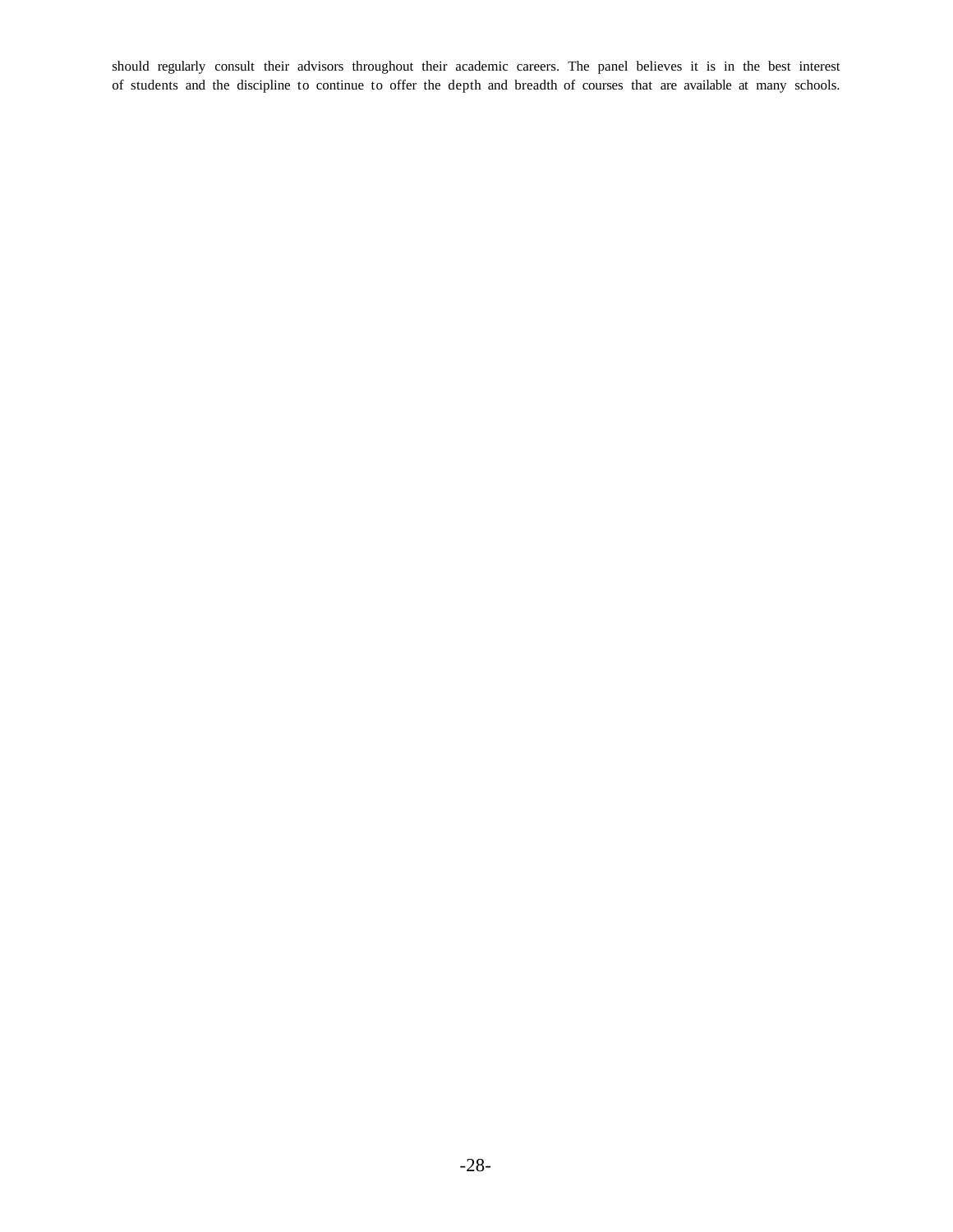should regularly consult their advisors throughout their academic careers. The panel believes it is in the best interest of students and the discipline to continue to offer the depth and breadth of courses that are available at many schools.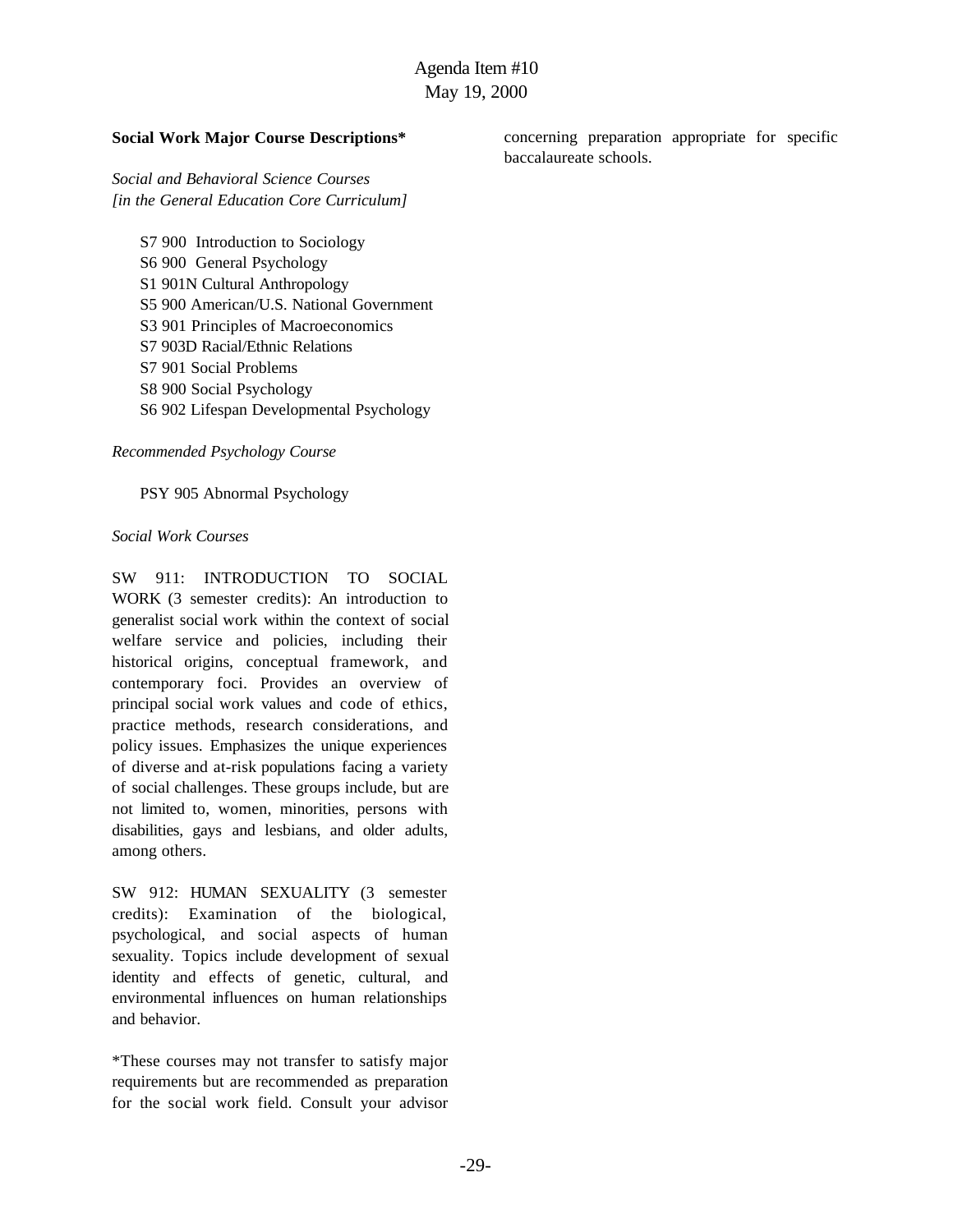#### **Social Work Major Course Descriptions\***

*Social and Behavioral Science Courses [in the General Education Core Curriculum]*

S7 900 Introduction to Sociology S6 900 General Psychology S1 901N Cultural Anthropology S5 900 American/U.S. National Government S3 901 Principles of Macroeconomics S7 903D Racial/Ethnic Relations S7 901 Social Problems S8 900 Social Psychology S6 902 Lifespan Developmental Psychology

*Recommended Psychology Course*

PSY 905 Abnormal Psychology

#### *Social Work Courses*

SW 911: INTRODUCTION TO SOCIAL WORK (3 semester credits): An introduction to generalist social work within the context of social welfare service and policies, including their historical origins, conceptual framework, and contemporary foci. Provides an overview of principal social work values and code of ethics, practice methods, research considerations, and policy issues. Emphasizes the unique experiences of diverse and at-risk populations facing a variety of social challenges. These groups include, but are not limited to, women, minorities, persons with disabilities, gays and lesbians, and older adults, among others.

SW 912: HUMAN SEXUALITY (3 semester credits): Examination of the biological, psychological, and social aspects of human sexuality. Topics include development of sexual identity and effects of genetic, cultural, and environmental influences on human relationships and behavior.

\*These courses may not transfer to satisfy major requirements but are recommended as preparation for the social work field. Consult your advisor concerning preparation appropriate for specific baccalaureate schools.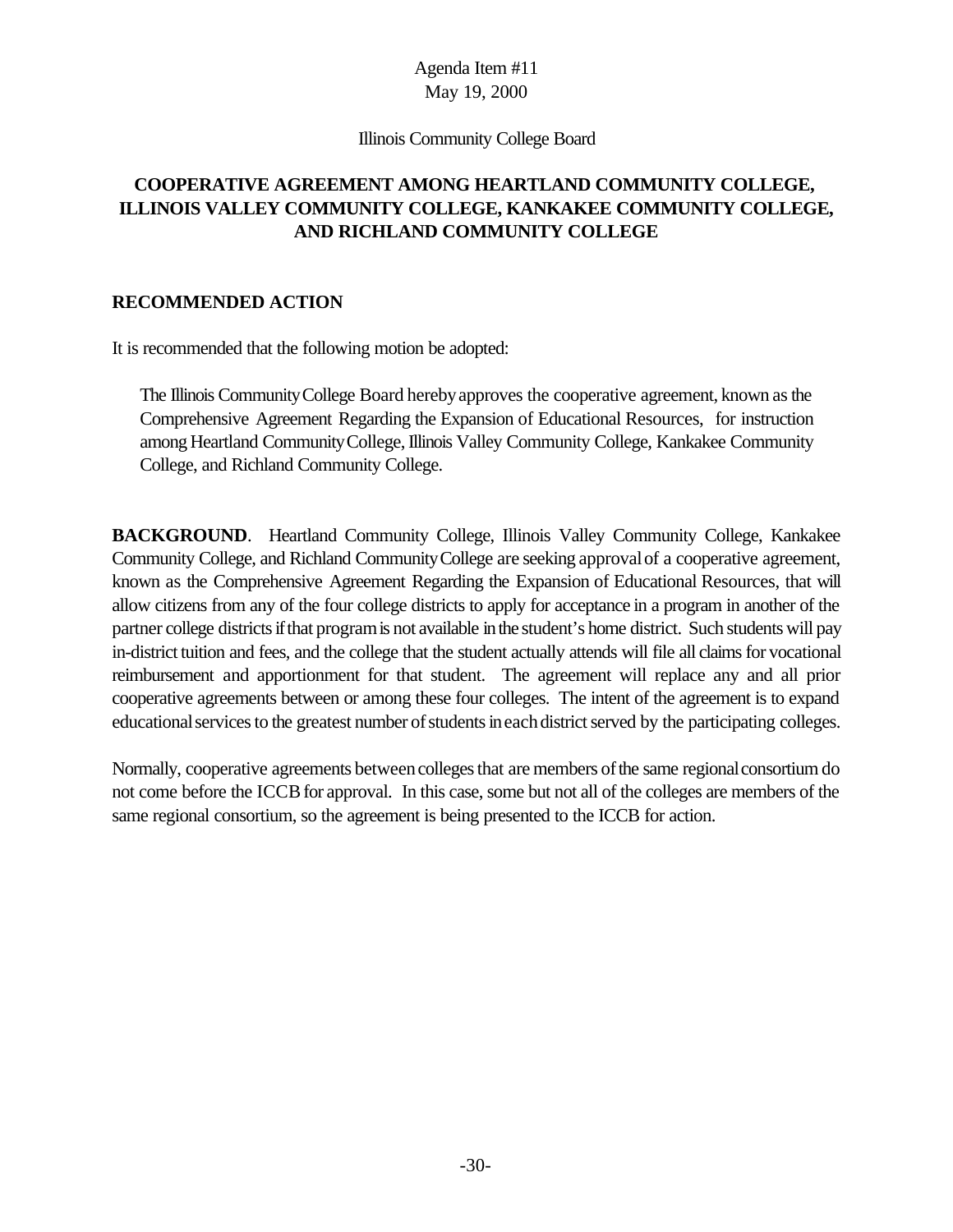#### Illinois Community College Board

# **COOPERATIVE AGREEMENT AMONG HEARTLAND COMMUNITY COLLEGE, ILLINOIS VALLEY COMMUNITY COLLEGE, KANKAKEE COMMUNITY COLLEGE, AND RICHLAND COMMUNITY COLLEGE**

#### **RECOMMENDED ACTION**

It is recommended that the following motion be adopted:

The Illinois CommunityCollege Board herebyapproves the cooperative agreement, known asthe Comprehensive Agreement Regarding the Expansion of Educational Resources, for instruction among Heartland Community College, Illinois Valley Community College, Kankakee Community College, and Richland Community College.

**BACKGROUND**. Heartland Community College, Illinois Valley Community College, Kankakee Community College, and Richland CommunityCollege are seeking approvalof a cooperative agreement, known as the Comprehensive Agreement Regarding the Expansion of Educational Resources, that will allow citizens from any of the four college districts to apply for acceptance in a program in another of the partner college districts if that program is not available in the student's home district. Such students will pay in-district tuition and fees, and the college that the student actually attends will file all claimsfor vocational reimbursement and apportionment for that student. The agreement will replace any and all prior cooperative agreements between or among these four colleges. The intent of the agreement is to expand educational services to the greatest number of students in each district served by the participating colleges.

Normally, cooperative agreements between colleges that are members of the same regional consortium do not come before the ICCB for approval. In this case, some but not all of the colleges are members of the same regional consortium, so the agreement is being presented to the ICCB for action.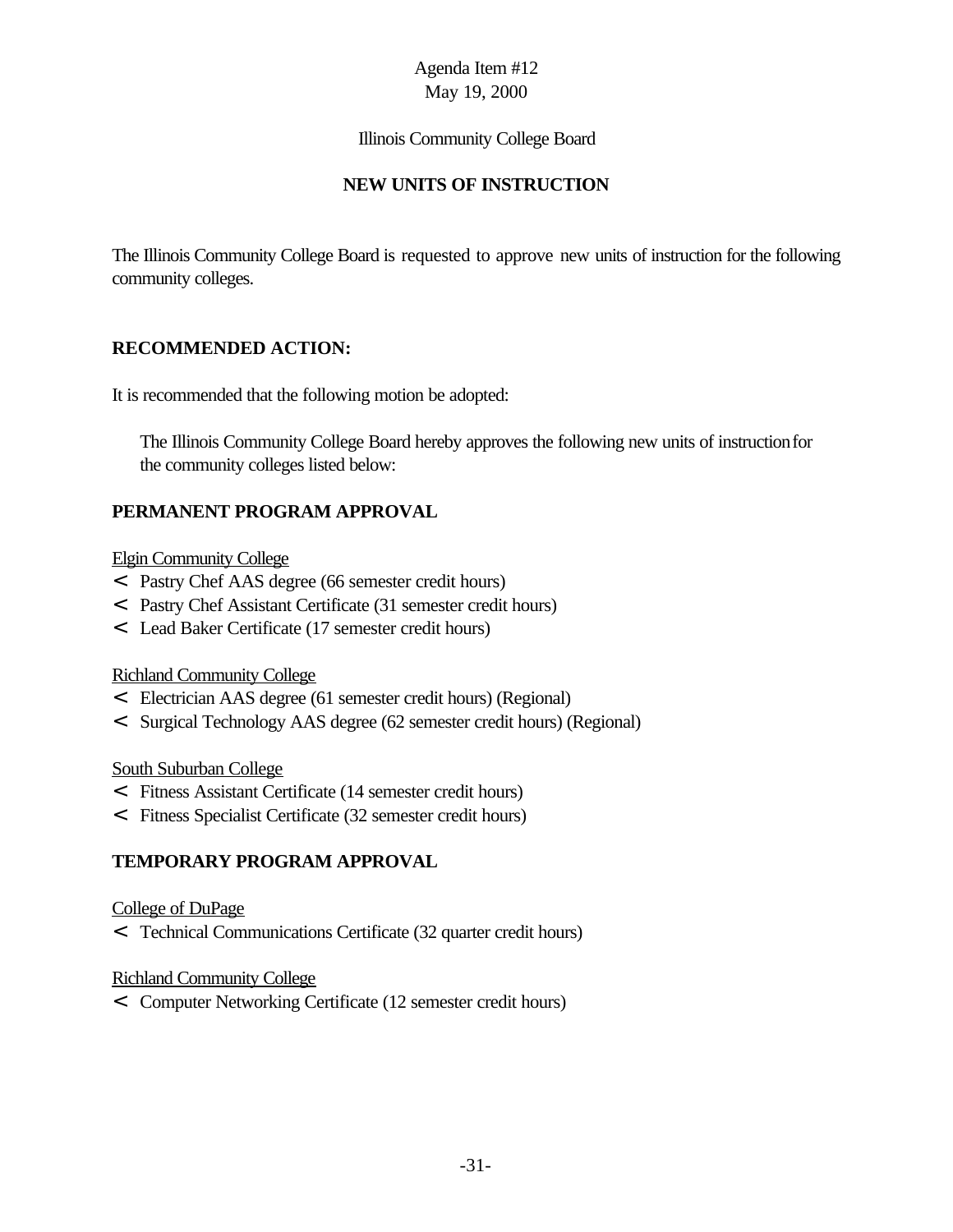### Illinois Community College Board

# **NEW UNITS OF INSTRUCTION**

The Illinois Community College Board is requested to approve new units of instruction for the following community colleges.

# **RECOMMENDED ACTION:**

It is recommended that the following motion be adopted:

The Illinois Community College Board hereby approves the following new units of instructionfor the community colleges listed below:

# **PERMANENT PROGRAM APPROVAL**

### Elgin Community College

- < Pastry Chef AAS degree (66 semester credit hours)
- < Pastry Chef Assistant Certificate (31 semester credit hours)
- < Lead Baker Certificate (17 semester credit hours)

#### Richland Community College

- < Electrician AAS degree (61 semester credit hours) (Regional)
- < Surgical Technology AAS degree (62 semester credit hours) (Regional)

#### South Suburban College

- < Fitness Assistant Certificate (14 semester credit hours)
- < Fitness Specialist Certificate (32 semester credit hours)

# **TEMPORARY PROGRAM APPROVAL**

#### College of DuPage

< Technical Communications Certificate (32 quarter credit hours)

# Richland Community College

< Computer Networking Certificate (12 semester credit hours)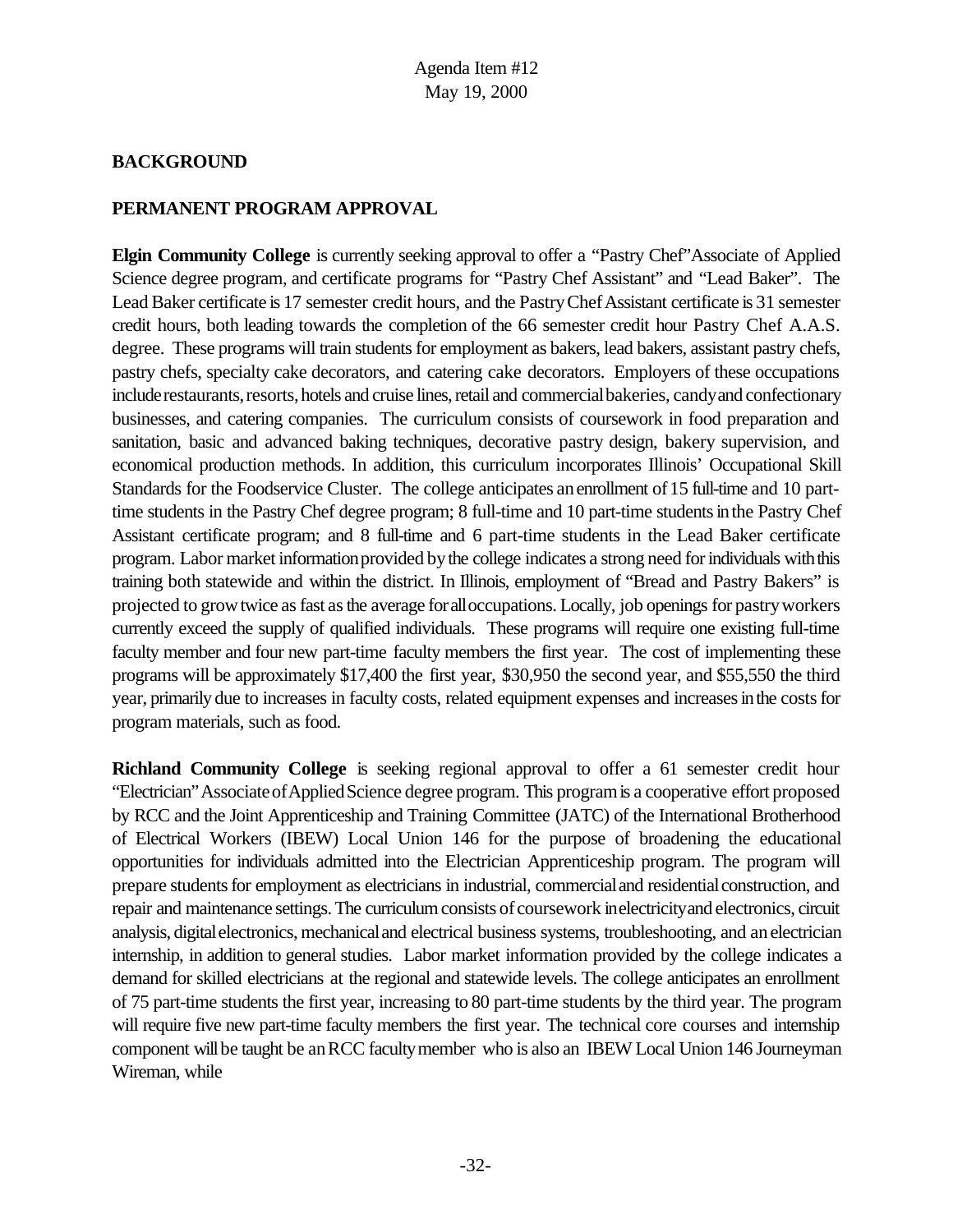### **BACKGROUND**

### **PERMANENT PROGRAM APPROVAL**

**Elgin Community College** is currently seeking approval to offer a "Pastry Chef"Associate of Applied Science degree program, and certificate programs for "Pastry Chef Assistant" and "Lead Baker". The Lead Baker certificate is 17 semester credit hours, and the Pastry Chef Assistant certificate is 31 semester credit hours, both leading towards the completion of the 66 semester credit hour Pastry Chef A.A.S. degree. These programs will train students for employment as bakers, lead bakers, assistant pastry chefs, pastry chefs, specialty cake decorators, and catering cake decorators. Employers of these occupations include restaurants, resorts, hotels and cruise lines, retail and commercial bakeries, candy and confectionary businesses, and catering companies. The curriculum consists of coursework in food preparation and sanitation, basic and advanced baking techniques, decorative pastry design, bakery supervision, and economical production methods. In addition, this curriculum incorporates Illinois' Occupational Skill Standards for the Foodservice Cluster. The college anticipates an enrollment of 15 full-time and 10 parttime students in the Pastry Chef degree program; 8 full-time and 10 part-time students in the Pastry Chef Assistant certificate program; and 8 full-time and 6 part-time students in the Lead Baker certificate program. Labor market informationprovided bythe college indicates a strong need forindividuals withthis training both statewide and within the district. In Illinois, employment of "Bread and Pastry Bakers" is projected to growtwice asfast asthe average foralloccupations. Locally, job openings for pastryworkers currently exceed the supply of qualified individuals. These programs will require one existing full-time faculty member and four new part-time faculty members the first year. The cost of implementing these programs will be approximately \$17,400 the first year, \$30,950 the second year, and \$55,550 the third year, primarily due to increases in faculty costs, related equipment expenses and increases in the costs for program materials, such as food.

**Richland Community College** is seeking regional approval to offer a 61 semester credit hour "Electrician"AssociateofAppliedScience degree program. This programis a cooperative effort proposed by RCC and the Joint Apprenticeship and Training Committee (JATC) of the International Brotherhood of Electrical Workers (IBEW) Local Union 146 for the purpose of broadening the educational opportunities for individuals admitted into the Electrician Apprenticeship program. The program will prepare studentsfor employment as electricians in industrial, commercialand residentialconstruction, and repair and maintenance settings. The curriculum consists of coursework inelectricity and electronics, circuit analysis, digital electronics, mechanical and electrical business systems, troubleshooting, and an electrician internship, in addition to general studies. Labor market information provided by the college indicates a demand for skilled electricians at the regional and statewide levels. The college anticipates an enrollment of 75 part-time students the first year, increasing to 80 part-time students by the third year. The program will require five new part-time faculty members the first year. The technical core courses and internship component will be taught be an RCC faculty member who is also an IBEW Local Union 146 Journeyman Wireman, while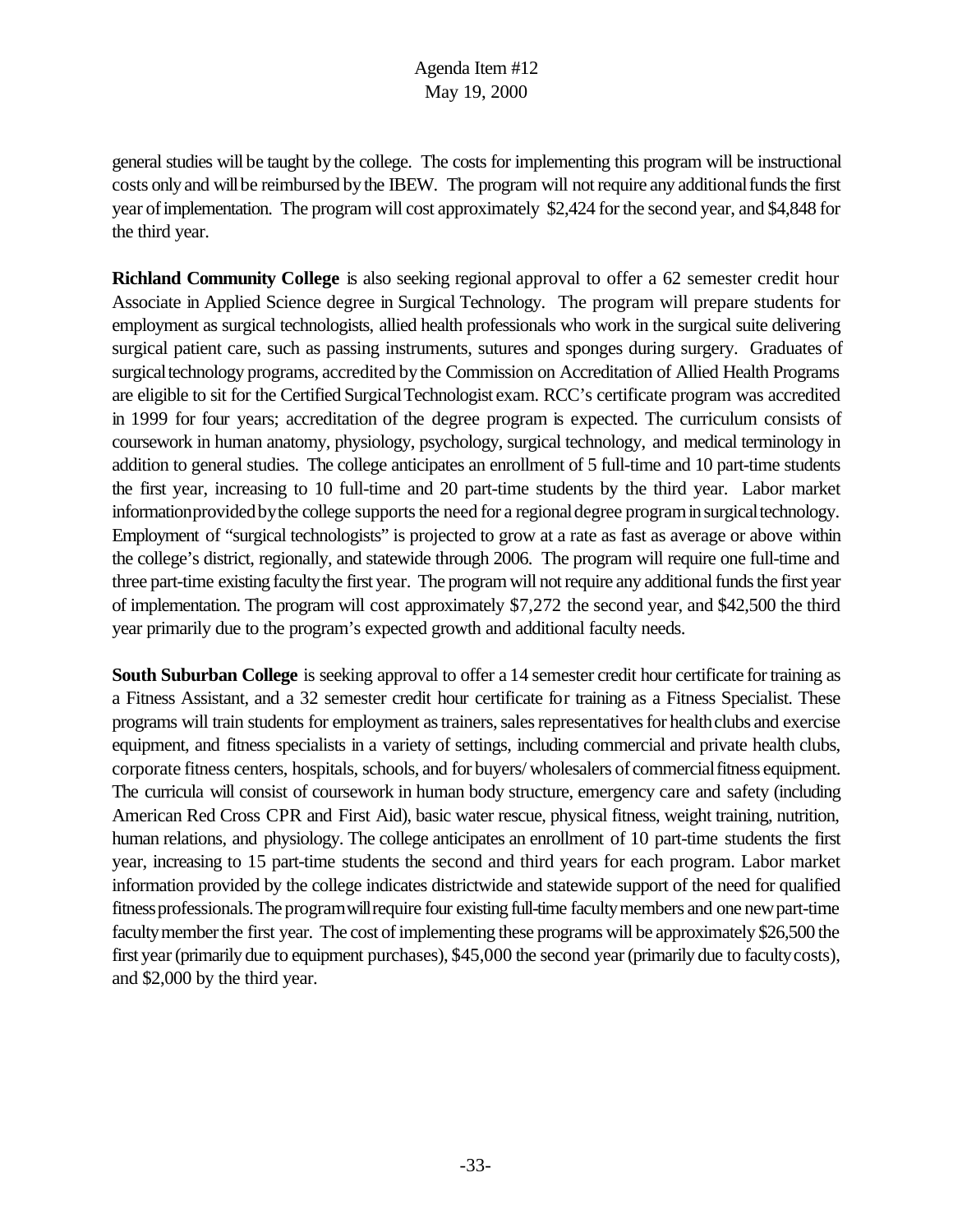general studies will be taught bythe college. The costs for implementing this program will be instructional costs only and will be reimbursed by the IBEW. The program will not require any additional funds the first year of implementation. The program will cost approximately \$2,424 for the second year, and \$4,848 for the third year.

**Richland Community College** is also seeking regional approval to offer a 62 semester credit hour Associate in Applied Science degree in Surgical Technology. The program will prepare students for employment as surgical technologists, allied health professionals who work in the surgical suite delivering surgical patient care, such as passing instruments, sutures and sponges during surgery. Graduates of surgical technology programs, accredited by the Commission on Accreditation of Allied Health Programs are eligible to sit for the Certified SurgicalTechnologist exam. RCC's certificate program was accredited in 1999 for four years; accreditation of the degree program is expected. The curriculum consists of coursework in human anatomy, physiology, psychology, surgical technology, and medical terminology in addition to general studies. The college anticipates an enrollment of 5 full-time and 10 part-time students the first year, increasing to 10 full-time and 20 part-time students by the third year. Labor market informationprovided by the college supports the need for a regional degree program in surgical technology. Employment of "surgical technologists" is projected to grow at a rate as fast as average or above within the college's district, regionally, and statewide through 2006. The program will require one full-time and three part-time existing faculty the first year. The program will not require any additional funds the first year of implementation. The program will cost approximately \$7,272 the second year, and \$42,500 the third year primarily due to the program's expected growth and additional faculty needs.

**South Suburban College** is seeking approval to offer a 14 semester credit hour certificate for training as a Fitness Assistant, and a 32 semester credit hour certificate for training as a Fitness Specialist. These programs will train students for employment as trainers, sales representatives for health clubs and exercise equipment, and fitness specialists in a variety of settings, including commercial and private health clubs, corporate fitness centers, hospitals, schools, and for buyers/ wholesalers of commercialfitness equipment. The curricula will consist of coursework in human body structure, emergency care and safety (including American Red Cross CPR and First Aid), basic water rescue, physical fitness, weight training, nutrition, human relations, and physiology. The college anticipates an enrollment of 10 part-time students the first year, increasing to 15 part-time students the second and third years for each program. Labor market information provided by the college indicates districtwide and statewide support of the need for qualified fitnessprofessionals.The programwillrequire four existing full-time facultymembers and one newpart-time faculty member the first year. The cost of implementing these programs will be approximately \$26,500 the first year (primarily due to equipment purchases), \$45,000 the second year (primarily due to faculty costs), and \$2,000 by the third year.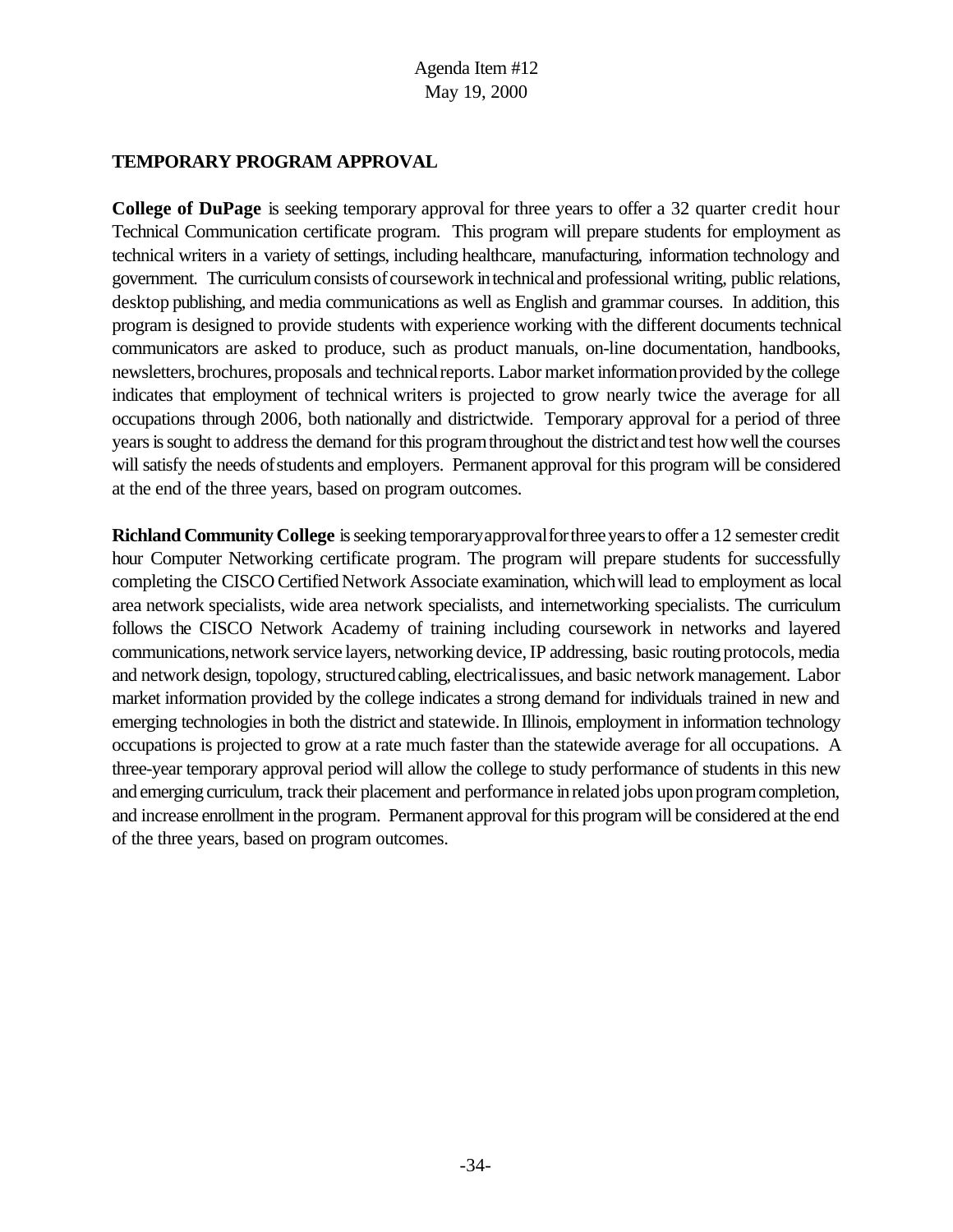# **TEMPORARY PROGRAM APPROVAL**

**College of DuPage** is seeking temporary approval for three years to offer a 32 quarter credit hour Technical Communication certificate program. This program will prepare students for employment as technical writers in a variety of settings, including healthcare, manufacturing, information technology and government. The curriculumconsists of coursework intechnicaland professional writing, public relations, desktop publishing, and media communications as well as English and grammar courses. In addition, this program is designed to provide students with experience working with the different documents technical communicators are asked to produce, such as product manuals, on-line documentation, handbooks, newsletters, brochures, proposals and technical reports. Labor market information provided by the college indicates that employment of technical writers is projected to grow nearly twice the average for all occupations through 2006, both nationally and districtwide. Temporary approval for a period of three years is sought to address the demand for this program throughout the district and test how well the courses will satisfy the needs of students and employers. Permanent approval for this program will be considered at the end of the three years, based on program outcomes.

**Richland Community College** isseeking temporaryapprovalforthreeyearsto offer a 12 semester credit hour Computer Networking certificate program. The program will prepare students for successfully completing the CISCO Certified Network Associate examination, whichwill lead to employment as local area network specialists, wide area network specialists, and internetworking specialists. The curriculum follows the CISCO Network Academy of training including coursework in networks and layered communications,network service layers, networking device,IP addressing, basic routing protocols, media and network design, topology, structured cabling, electricalissues, and basic network management. Labor market information provided by the college indicates a strong demand for individuals trained in new and emerging technologies in both the district and statewide. In Illinois, employment in information technology occupations is projected to grow at a rate much faster than the statewide average for all occupations. A three-year temporary approval period will allow the college to study performance of students in this new and emerging curriculum, track their placement and performance in related jobs upon program completion, and increase enrollment inthe program. Permanent approval for this program will be considered at the end of the three years, based on program outcomes.